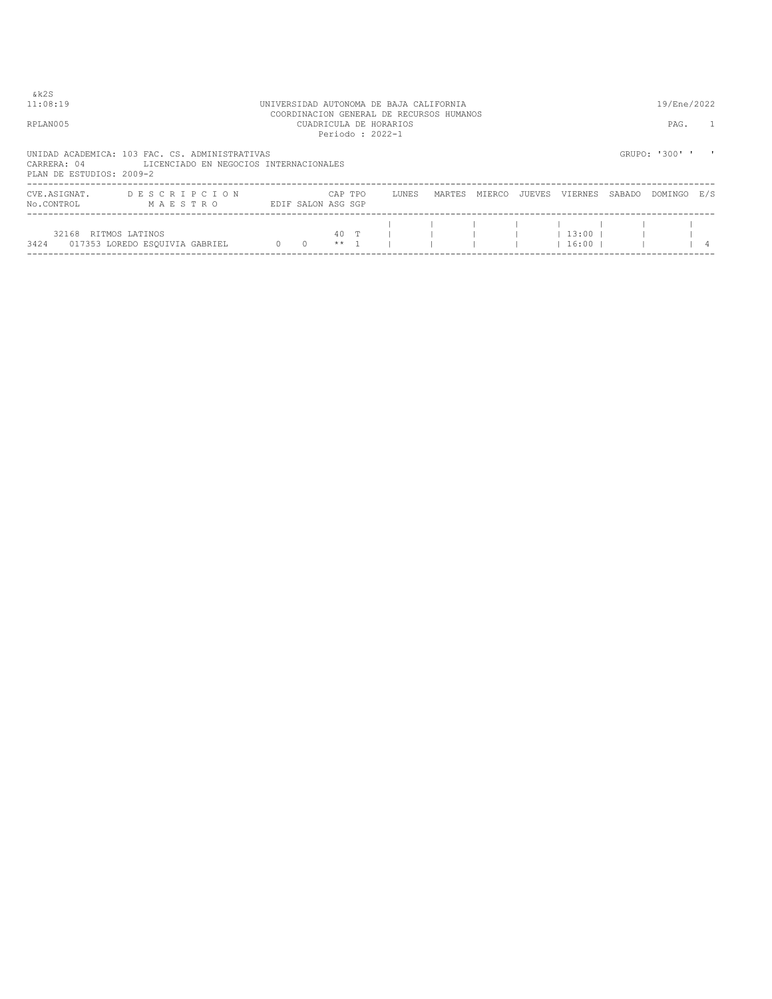| & k 2 S<br>11:08:19                     |                                                                                          |                |                    |                 | UNIVERSIDAD AUTONOMA DE BAJA CALIFORNIA                                               |        |        |        |                        |        | 19/Ene/2022    |     |
|-----------------------------------------|------------------------------------------------------------------------------------------|----------------|--------------------|-----------------|---------------------------------------------------------------------------------------|--------|--------|--------|------------------------|--------|----------------|-----|
| RPLAN005                                |                                                                                          |                |                    |                 | COORDINACION GENERAL DE RECURSOS HUMANOS<br>CUADRICULA DE HORARIOS<br>Periodo: 2022-1 |        |        |        |                        |        | PAG.           |     |
| CARRERA: 04<br>PLAN DE ESTUDIOS: 2009-2 | UNIDAD ACADEMICA: 103 FAC. CS. ADMINISTRATIVAS<br>LICENCIADO EN NEGOCIOS INTERNACIONALES |                |                    |                 |                                                                                       |        |        |        |                        |        | GRUPO: '300' ' |     |
| CVE.ASIGNAT.<br>No.CONTROL              | DESCRIPCION<br>MAESTRO                                                                   |                | EDIF SALON ASG SGP | CAP TPO         | LUNES                                                                                 | MARTES | MIERCO | JUEVES | VIERNES                | SABADO | DOMINGO        | E/S |
| 32168 RITMOS LATINOS<br>3424            | 017353 LOREDO ESQUIVIA GABRIEL                                                           | $\overline{0}$ | $\overline{0}$     | 40 T<br>$***$ 1 |                                                                                       |        |        |        | $13:00$ 1<br>$16:00$ 1 |        |                |     |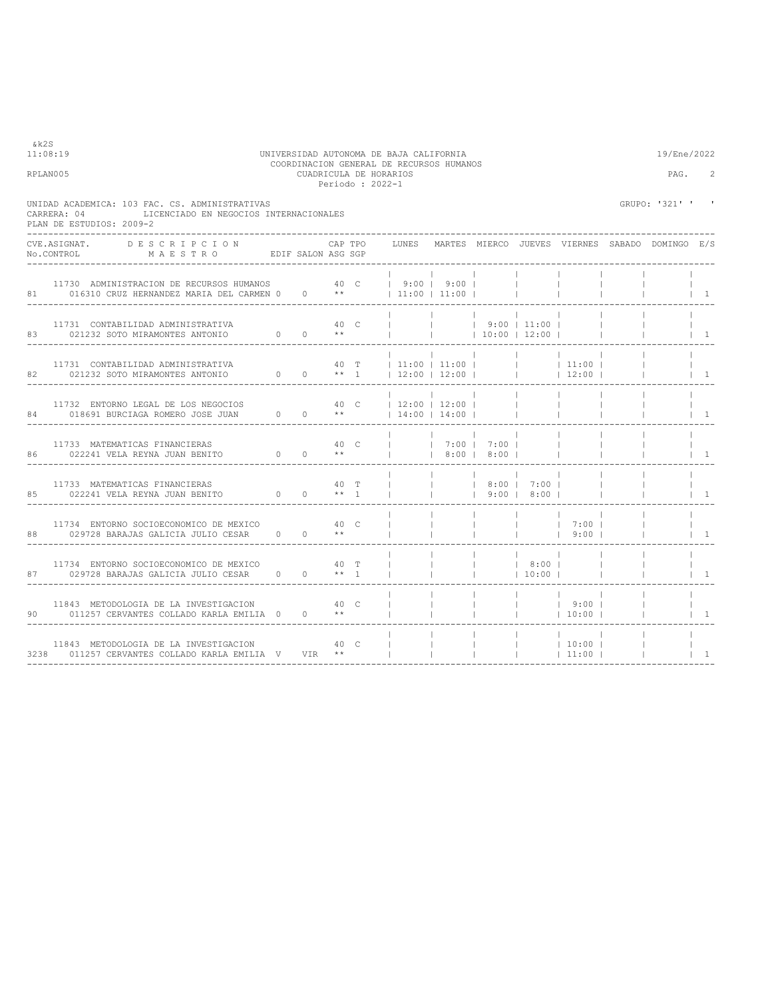| 11:08:19<br>UNIVERSIDAD AUTONOMA DE BAJA CALIFORNIA<br>COORDINACION GENERAL DE RECURSOS HUMANOS<br>RPLAN005<br>CUADRICULA DE HORARIOS<br>Periodo : 2022-1                                              |                                                             |  |                        |  |         |  |                |                              |                                                                             |                                      |                                                                                                                                                                        | 19/Ene/2022<br>PAG.                                   | $\overline{2}$                        |
|--------------------------------------------------------------------------------------------------------------------------------------------------------------------------------------------------------|-------------------------------------------------------------|--|------------------------|--|---------|--|----------------|------------------------------|-----------------------------------------------------------------------------|--------------------------------------|------------------------------------------------------------------------------------------------------------------------------------------------------------------------|-------------------------------------------------------|---------------------------------------|
| UNIDAD ACADEMICA: 103 FAC. CS. ADMINISTRATIVAS<br>CARRERA: 04<br>PLAN DE ESTUDIOS: 2009-2                                                                                                              | LICENCIADO EN NEGOCIOS INTERNACIONALES                      |  |                        |  |         |  |                |                              |                                                                             |                                      |                                                                                                                                                                        | GRUPO: '321' ' '                                      |                                       |
| CVE.ASIGNAT. DESCRIPCION<br>No.CONTROL MAESTRO EDIF SALON ASG SGP                                                                                                                                      |                                                             |  |                        |  | CAP TPO |  |                |                              |                                                                             |                                      |                                                                                                                                                                        | LUNES MARTES MIERCO JUEVES VIERNES SABADO DOMINGO E/S |                                       |
| 81 016310 CRUZ HERNANDEZ MARIA DEL CARMEN 0 0 **   11:00   11:00                                                                                                                                       | 11730 ADMINISTRACION DE RECURSOS HUMANOS 40 C   9:00   9:00 |  |                        |  |         |  |                |                              |                                                                             | <b>Contract Contract</b>             |                                                                                                                                                                        |                                                       | $\vert$ 1                             |
|                                                                                                                                                                                                        |                                                             |  |                        |  |         |  |                | and the contract of the con- |                                                                             |                                      |                                                                                                                                                                        |                                                       | $\vert$ 1                             |
| 11731 CONTABILIDAD ADMINISTRATIVA<br>82 021232 SOTO MIRAMONTES ANTONIO 0 0 ** 1 12:00   12:00   1   12:00   1                                                                                          |                                                             |  |                        |  |         |  |                |                              |                                                                             |                                      | $\begin{array}{ccccccccccc} & & & &   & &   & &   & &   & &   & &   & &   \ & & & 40 & \text{T} & &   & 11:00 &   & 11:00 &   & & &   & & &   & 11:00 &   \end{array}$ |                                                       | $\vert$ 1                             |
| 11732 ENTORNO LEGAL DE LOS NEGOCIOS<br>84 018691 BURCIAGA ROMERO JOSE JUAN 0 0 **   14:00   14:00                                                                                                      |                                                             |  |                        |  |         |  |                | <b>Contract Contract</b>     | <b>Contract Contract</b>                                                    | <b>Contract</b>                      | <b>Contractor</b>                                                                                                                                                      |                                                       | $\vert$ 1                             |
|                                                                                                                                                                                                        | 11733 MATEMATICAS FINANCIERAS 40 C                          |  |                        |  |         |  |                |                              | <b>Contract Contract</b><br>$ $ $ $ 7:00 $ $ 7:00 $ $<br>  8:00   8:00      | $\sim$ 1.                            |                                                                                                                                                                        |                                                       | $\begin{array}{cc} \end{array}$       |
| $\begin{tabular}{lllllllllll} & 11733 & \texttt{MATEMATICAS} & \texttt{FINANCIERAS} & & & 40 & \texttt{T} \\ 85 & 022241 & \texttt{VELA REYNA JUAN BENITO} & 0 & 0 & \star \star & 1 \\ \end{tabular}$ |                                                             |  |                        |  |         |  |                | <b>College</b>               | $1 - 1 - 1 - 1 - 1$<br>$ $ $ $ $ $ $ $ 8:00   7:00  <br>$\vert$ 9:00   8:00 |                                      |                                                                                                                                                                        |                                                       | $\begin{array}{cc} \end{array}$       |
| 11734 ENTORNO SOCIOECONOMICO DE MEXICO 60 40 C<br>88 029728 BARAJAS GALICIA JULIO CESAR                                                                                                                |                                                             |  | $0 \t 0 \t \star\star$ |  |         |  |                | $\sim$ 100 $\sim$            | <b>College</b><br>$\mathbf{L}$                                              | <b>Contract</b><br><b>Contractor</b> | 7:00 <br> 9:00                                                                                                                                                         |                                                       | $\begin{array}{cc} 1 & 1 \end{array}$ |
| 11734 ENTORNO SOCIOECONOMICO DE MEXICO 60 000 1000 T<br>87 029728 BARAJAS GALICIA JULIO CESAR 0 0 ** 1                                                                                                 |                                                             |  |                        |  |         |  | $\mathbb{R}^n$ | $\sim$ 100 $\sim$            | 8:00  <br>$ $ 10:00                                                         |                                      |                                                                                                                                                                        |                                                       | $\vert$ 1                             |
| 11843 METODOLOGIA DE LA INVESTIGACION 40 C<br>90 011257 CERVANTES COLLADO KARLA EMILIA 0 0 **                                                                                                          |                                                             |  |                        |  |         |  |                | $\mathbb{R}^n$               |                                                                             |                                      | $ $ $ $ $ $ $ $ 9:00 $ $<br>$ $ 10:00                                                                                                                                  |                                                       | $\vert$ 1                             |
| 3238 011257 CERVANTES COLLADO KARLA EMILIA V VIR **                                                                                                                                                    | 11843 METODOLOGIA DE LA INVESTIGACION                       |  |                        |  | 40 C    |  |                |                              | The Control of the<br>$\sim$ 1                                              | <b>Contractor</b>                    | 10:00 <br> 11:00                                                                                                                                                       |                                                       | $\vert$ 1                             |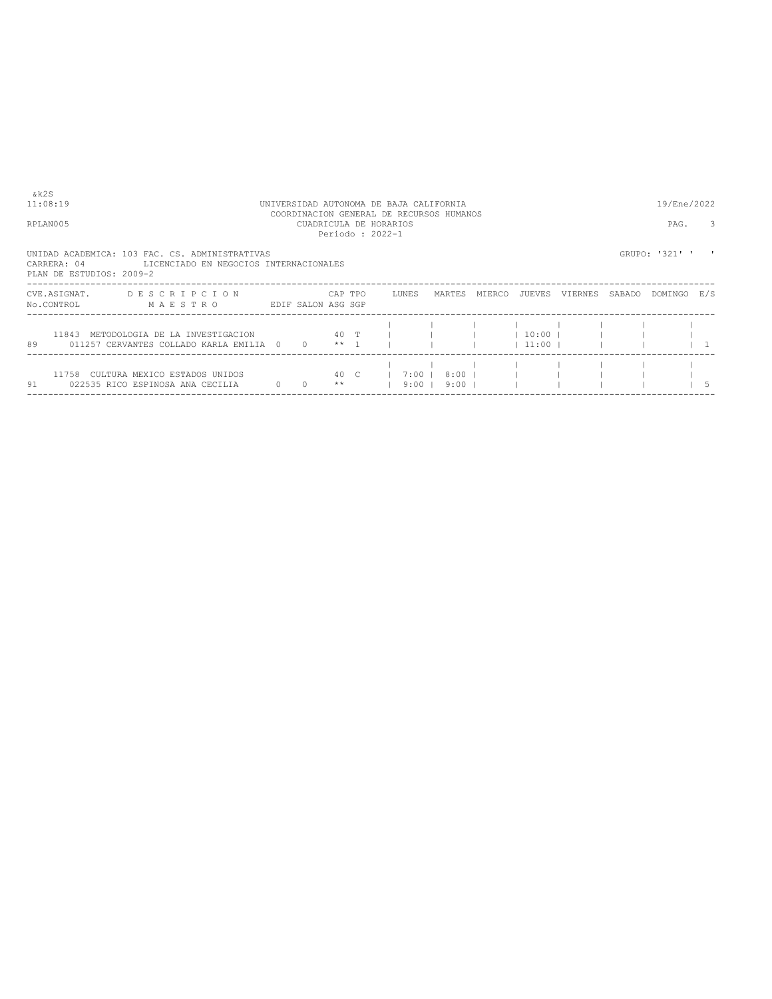| & k 2 S<br>11:08:19<br>RPLAN005 |                                                                                                                      |                    |                       |               | UNIVERSIDAD AUTONOMA DE BAJA CALIFORNIA<br>COORDINACION GENERAL DE RECURSOS HUMANOS<br>CUADRICULA DE HORARIOS<br>Periodo: 2022-1 |                      |        |                          |         |        | 19/Ene/2022<br>PAG. | 3 |
|---------------------------------|----------------------------------------------------------------------------------------------------------------------|--------------------|-----------------------|---------------|----------------------------------------------------------------------------------------------------------------------------------|----------------------|--------|--------------------------|---------|--------|---------------------|---|
| CARRERA: 04                     | UNIDAD ACADEMICA: 103 FAC. CS. ADMINISTRATIVAS<br>LICENCIADO EN NEGOCIOS INTERNACIONALES<br>PLAN DE ESTUDIOS: 2009-2 |                    |                       |               |                                                                                                                                  |                      |        |                          |         |        | GRUPO: '321' '      |   |
| CVE.ASIGNAT.                    | DESCRIPCION<br>NO.CONTROL MAESTRO                                                                                    | EDIF SALON ASG SGP |                       | CAP TPO       | LUNES                                                                                                                            | MARTES               | MIERCO | JUEVES                   | VIERNES | SABADO | DOMINGO E/S         |   |
| 89                              | 11843 METODOLOGIA DE LA INVESTIGACION<br>011257 CERVANTES COLLADO KARLA EMILIA 0                                     |                    | $0 \longrightarrow 1$ |               |                                                                                                                                  |                      |        | $10:00$  <br>$11:00$ $1$ |         |        |                     |   |
| 91                              | 11758 CULTURA MEXICO ESTADOS UNIDOS<br>022535 RICO ESPINOSA ANA CECILIA                                              | $\Omega$           | $\Omega$              | 40 C<br>$* *$ | $1 \t7:00 \t1$<br>$9:00$ 1                                                                                                       | $8:00$  <br>$9:00$ 1 |        |                          |         |        |                     |   |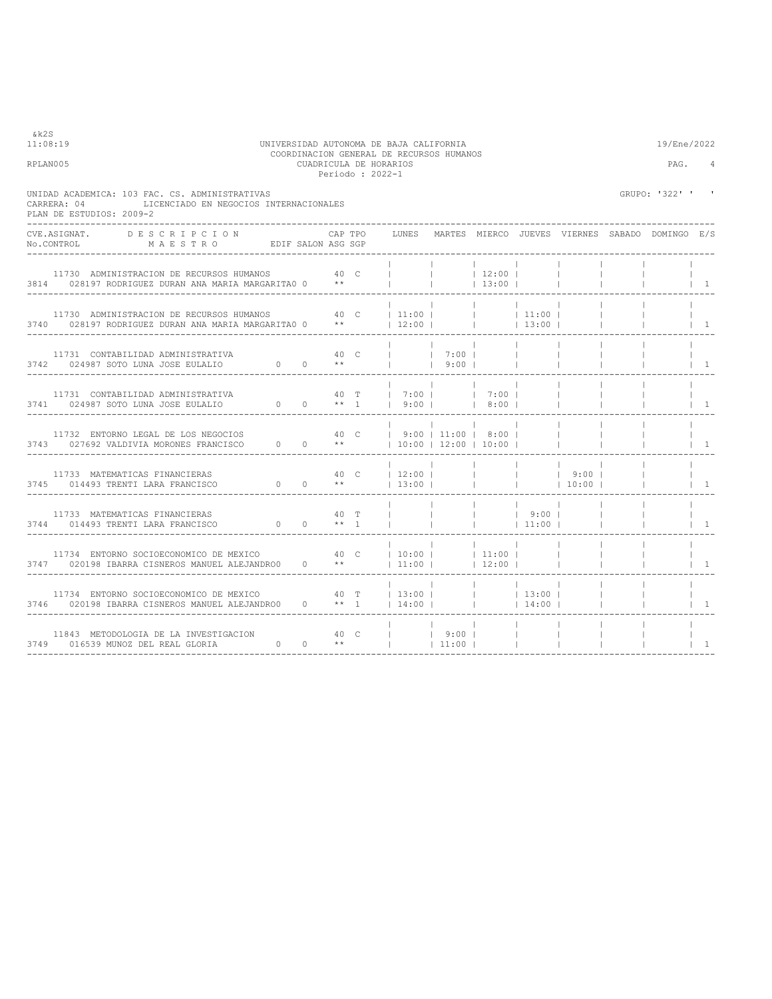| 11:08:19<br>UNIVERSIDAD AUTONOMA DE BAJA CALIFORNIA<br>RPLAN005                                                                               |      |         | 19/Ene/2022<br>PAG. | $\overline{4}$    |                                       |                                    |                 |                                             |                                                       |                                 |
|-----------------------------------------------------------------------------------------------------------------------------------------------|------|---------|---------------------|-------------------|---------------------------------------|------------------------------------|-----------------|---------------------------------------------|-------------------------------------------------------|---------------------------------|
| UNIDAD ACADEMICA: 103 FAC. CS. ADMINISTRATIVAS<br>LICENCIADO EN NEGOCIOS INTERNACIONALES<br>CARRERA: 04<br>PLAN DE ESTUDIOS: 2009-2           |      |         |                     |                   |                                       |                                    |                 |                                             | GRUPO: '322' '                                        |                                 |
| CVE.ASIGNAT. DESCRIPCION                                                                                                                      |      | CAP TPO |                     |                   |                                       |                                    |                 |                                             | LUNES MARTES MIERCO JUEVES VIERNES SABADO DOMINGO E/S |                                 |
| 11730 ADMINISTRACION DE RECURSOS HUMANOS<br>3814 028197 RODRIGUEZ DURAN ANA MARIA MARGARITA0 0 **                                             | 40 C |         |                     | <b>Contractor</b> | 12:00 <br> 13:00                      |                                    |                 |                                             |                                                       | $\vert$ 1                       |
|                                                                                                                                               |      |         |                     |                   |                                       |                                    |                 |                                             |                                                       | $\vert$ 1                       |
| 11731 CONTABILIDAD ADMINISTRATIVA<br>3742 024987 SOTO LUNA JOSE EULALIO $0$ 0 **     9:00                                                     |      |         | 7:00                |                   | $\sim$ 1.0<br>and the first products. |                                    |                 |                                             |                                                       | $\vert$ 1                       |
| 11731 CONTABILIDAD ADMINISTRATIVA $40$ T   7:00   7:00   7:00  <br>3741 024987 SOTO LUNA JOSE EULALIO $0$ 0 ** 1   9:00     8:00              |      |         |                     |                   |                                       |                                    | <b>Contract</b> | <b>Contract Contract</b><br><b>Contract</b> |                                                       | $\begin{array}{cc} \end{array}$ |
| 11732 ENTORNO LEGAL DE LOS NEGOCIOS 40 C   9:00   11:00   8:00  <br>3743 027692 VALDIVIA MORONES FRANCISCO 0 0 **   10:00   12:00   10:00     |      |         |                     |                   |                                       |                                    |                 |                                             |                                                       | $\begin{array}{cc} \end{array}$ |
| 11733 MATEMATICAS FINANCIERAS<br>3745 014493 TRENTI LARA FRANCISCO                                                                            |      |         |                     |                   |                                       |                                    |                 |                                             |                                                       | $\begin{array}{cc} \end{array}$ |
| 11733 MATEMATICAS FINANCIERAS<br>3744 014493 TRENTI LARA FRANCISCO                                                                            |      |         |                     | <b>Contract</b>   |                                       | 9:00  <br>$\frac{1}{1}$ 11:00      |                 |                                             |                                                       | $1 - 1$                         |
| 11734 ENTORNO SOCIOECONOMICO DE MEXICO 40 C<br>3747 020198 IBARRA CISNEROS MANUEL ALEJANDRO0 0 **   11:00     12:00                           |      |         | $ 10:00 $ $ 11:00 $ |                   |                                       |                                    | <b>Contract</b> |                                             |                                                       | $1 \quad 1$                     |
| 11734 ENTORNO SOCIOECONOMICO DE MEXICO 40 T   13:00       13:00  <br>3746 020198 IBARRA CISNEROS MANUEL ALEJANDRO0 0 ** 1   14:00       14:00 |      |         |                     |                   |                                       |                                    |                 | $\sim 1$                                    | $\mathbb{R}^n$                                        | $1 \quad 1$                     |
| 11843 METODOLOGIA DE LA INVESTIGACION 40 C     9:00   3749 016539 MUNOZ DEL REAL GLORIA 0 0 **     11:00                                      |      |         |                     |                   |                                       | <b>Contract</b><br><b>Contract</b> |                 |                                             |                                                       | $\vert$ 1                       |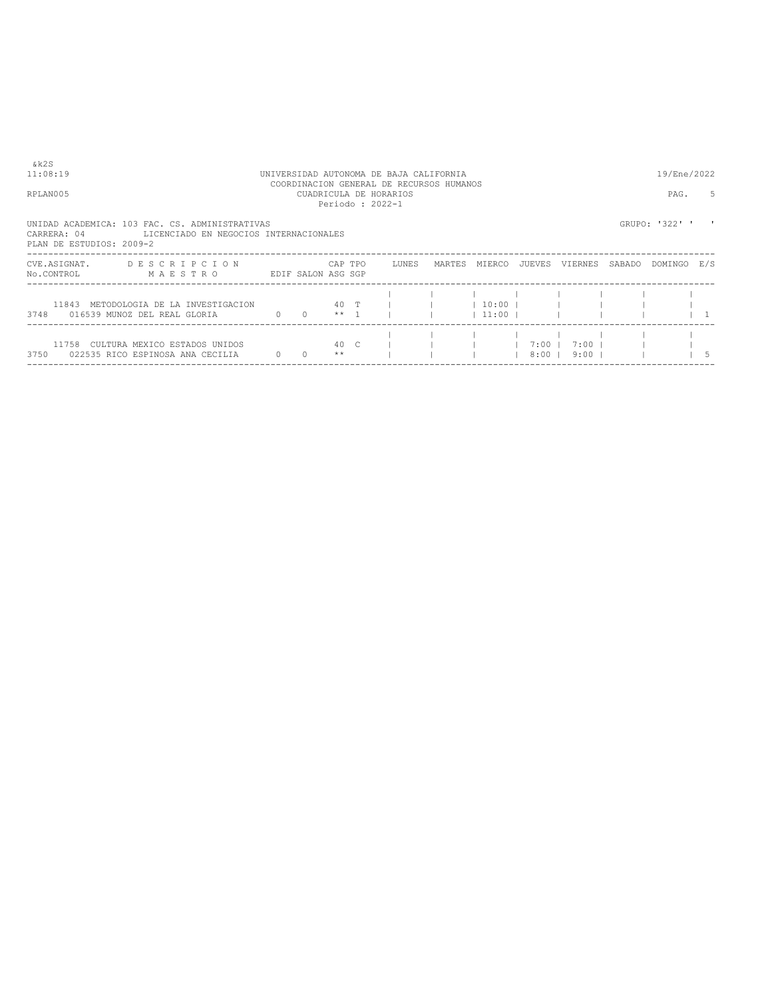| &k2S<br>11:08:19                        |                                                                                          |          |                           |               | UNIVERSIDAD AUTONOMA DE BAJA CALIFORNIA<br>COORDINACION GENERAL DE RECURSOS HUMANOS |        |                                      |                    |                    |        | 19/Ene/2022    |    |
|-----------------------------------------|------------------------------------------------------------------------------------------|----------|---------------------------|---------------|-------------------------------------------------------------------------------------|--------|--------------------------------------|--------------------|--------------------|--------|----------------|----|
| RPLAN005                                |                                                                                          |          |                           |               | CUADRICULA DE HORARIOS<br>Periodo: 2022-1                                           |        |                                      |                    |                    |        | PAG.           | 5  |
| CARRERA: 04<br>PLAN DE ESTUDIOS: 2009-2 | UNIDAD ACADEMICA: 103 FAC. CS. ADMINISTRATIVAS<br>LICENCIADO EN NEGOCIOS INTERNACIONALES |          |                           |               |                                                                                     |        |                                      |                    |                    |        | GRUPO: '322' ' |    |
| CVE.ASIGNAT.<br>No.CONTROL              | DESCRIPCION<br>MAESTRO<br>EDIF SALON ASG SGP                                             |          | <b>CAP TPO</b>            |               | LUNES                                                                               | MARTES | MIERCO                               | JUEVES             | VIERNES            | SABADO | DOMINGO E/S    |    |
|                                         | 11843 METODOLOGIA DE LA INVESTIGACION 40 T  <br>3748 016539 MUNOZ DEL REAL GLORIA        |          | $0 \t 0 \t \star \star 1$ |               |                                                                                     |        | $1 \quad 10:00 \quad 1$<br>$11:00$ 1 |                    |                    |        |                |    |
| 3750                                    | 11758 CULTURA MEXICO ESTADOS UNIDOS<br>022535 RICO ESPINOSA ANA CECILIA                  | $\sim$ 0 | $\Omega$                  | 40 C<br>$* *$ |                                                                                     |        |                                      | $7:00$  <br>$8:00$ | $7:00$  <br>$9:00$ |        |                | .5 |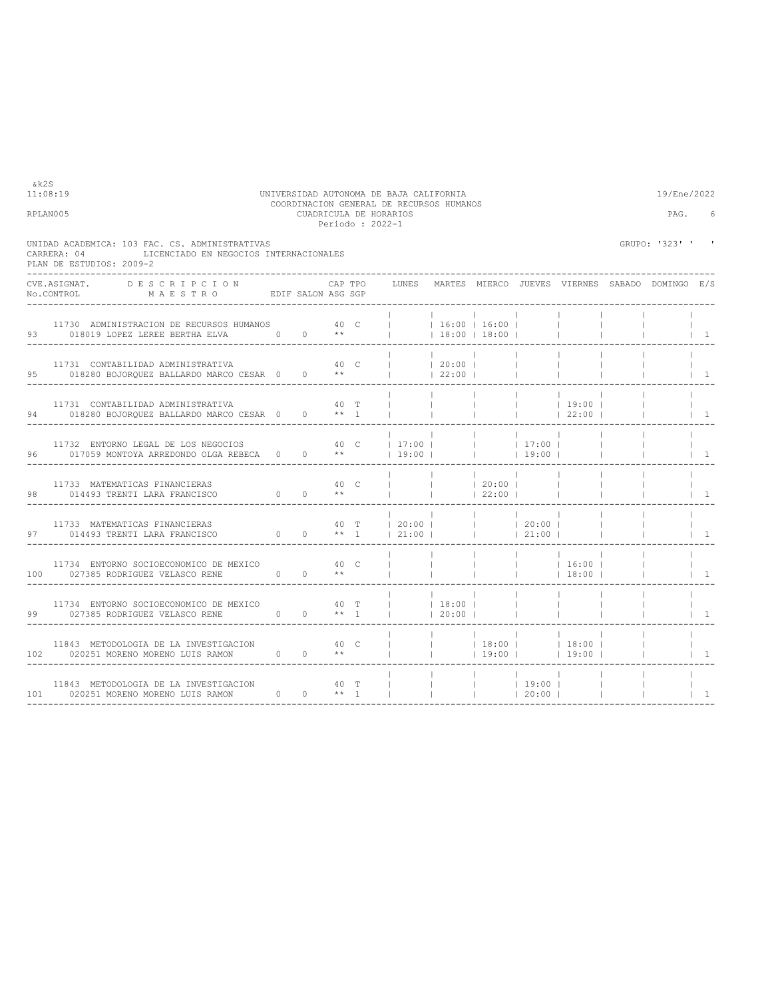| UNIDAD ACADEMICA: 103 FAC. CS. ADMINISTRATIVAS<br>LICENCIADO EN NEGOCIOS INTERNACIONALES<br>CARRERA: 04<br>PLAN DE ESTUDIOS: 2009-2  |                                                                                                                                                                                                                                                    |      |         |                                                                                                         |                                   |                                     |                                 |                                            |        | GRUPO: '323' ' '                                |                                 |
|--------------------------------------------------------------------------------------------------------------------------------------|----------------------------------------------------------------------------------------------------------------------------------------------------------------------------------------------------------------------------------------------------|------|---------|---------------------------------------------------------------------------------------------------------|-----------------------------------|-------------------------------------|---------------------------------|--------------------------------------------|--------|-------------------------------------------------|---------------------------------|
| -------------------<br>UVE.ASIGNAT. DESCRIPCION CAPTPO<br>No.CONTROL MAESTRO EDIFSALON ASGSGP                                        |                                                                                                                                                                                                                                                    |      | CAP TPO | LUNES                                                                                                   |                                   |                                     |                                 |                                            |        | MARTES MIERCO JUEVES VIERNES SABADO DOMINGO E/S |                                 |
| 11730 ADMINISTRACION DE RECURSOS HUMANOS 40 C     16:00   16:00  <br>93 018019 LOPEZ LEREE BERTHA ELVA 0 0 **     18:00   18:00      |                                                                                                                                                                                                                                                    |      |         |                                                                                                         | and the state of the state        |                                     | and the property of             |                                            |        |                                                 | $\begin{array}{cc} \end{array}$ |
| 11731 CONTABILIDAD ADMINISTRATIVA<br>95 018280 BOJORQUEZ BALLARDO MARCO CESAR 0 0 **     22:00                                       |                                                                                                                                                                                                                                                    |      | 40 C    | $ $ $ $ 20:00 $ $                                                                                       |                                   |                                     |                                 |                                            |        |                                                 | $\vert$ 1                       |
| 11731 CONTABILIDAD ADMINISTRATIVA<br>94 018280 BOJORQUEZ BALLARDO MARCO CESAR 0 0 ** 1                                               |                                                                                                                                                                                                                                                    | 40 T |         |                                                                                                         | <b>Contractor</b>                 | <b>Contract Contract</b>            |                                 | 19:00                                      | $\Box$ |                                                 | $\begin{array}{cc} \end{array}$ |
| 11732 ENTORNO LEGAL DE LOS NEGOCIOS 40 C   17:00       17:00  <br>96 017059 MONTOYA ARREDONDO OLGA REBECA 0 0 **   19:00       19:00 |                                                                                                                                                                                                                                                    |      |         |                                                                                                         | <b>Contract Contract Contract</b> | <b>Contract Contract</b>            | <b>Contract Contract Street</b> |                                            |        |                                                 | $\vert$ 1                       |
| 11733 MATEMATICAS FINANCIERAS<br>$\begin{matrix} 0 & 0 & * \end{matrix}$<br>98 014493 TRENTI LARA FRANCISCO                          |                                                                                                                                                                                                                                                    |      |         | $\begin{array}{cccccccc}   &   &   &   & 20:00 &   &   \\   &   &   &   & 22:00 &   &   \\ \end{array}$ |                                   |                                     |                                 |                                            |        |                                                 | $\vert$ 1                       |
| 11733 MATEMATICAS FINANCIERAS<br>97 014493 TRENTI LARA FRANCISCO 0 0 ** 1   21:00       21:00                                        |                                                                                                                                                                                                                                                    |      |         | 40 T   20:00       20:00                                                                                | <b>Contract Contract</b>          | the contract of the contract of the |                                 |                                            |        |                                                 | $\perp$ 1                       |
| 11734 ENTORNO SOCIOECONOMICO DE MEXICO 60 000 000 000<br>100 027385 RODRIGUEZ VELASCO RENE $0$ 0 **                                  |                                                                                                                                                                                                                                                    |      |         |                                                                                                         |                                   |                                     |                                 |                                            |        |                                                 | $\begin{array}{cc} \end{array}$ |
| 11734 ENTORNO SOCIOECONOMICO DE MEXICO 60 40 T<br>99 027385 RODRIGUEZ VELASCO RENE 0 0 ** 1                                          |                                                                                                                                                                                                                                                    |      |         | $ $ 1 20:00                                                                                             |                                   |                                     |                                 |                                            |        |                                                 | $1 \quad 1$                     |
| 11843 METODOLOGIA DE LA INVESTIGACION 40 C<br>102 020251 MORENO MORENO LUIS RAMON 0 0 **                                             |                                                                                                                                                                                                                                                    |      |         |                                                                                                         |                                   |                                     |                                 | 18:00     18:00  <br>      19:00     19:00 |        |                                                 | $\vert$ 1                       |
| 11843 METODOLOGIA DE LA INVESTIGACION<br>101 020251 MORENO MORENO LUIS RAMON                                                         | лично производите на 140 mm и 140 mm и 140 mm и 140 mm и 140 mm и 140 mm и 140 mm и 140 mm и 140 mm и 140 mm и<br>В 140 mm и 140 mm и 140 mm и 140 mm и 140 mm и 140 mm и 140 mm и 140 mm и 140 mm и 140 mm и 140 mm и 140 mm и<br>$0 \t 0 \t + 1$ |      |         |                                                                                                         |                                   | $ $ 19:00                           |                                 |                                            |        |                                                 | $\mathbf{1}$                    |

----------------------------------------------------------------------------------------------------------------------------------

## 11:08:19 UNIVERSIDAD AUTONOMA DE BAJA CALIFORNIA<br>COORDINACION GENERAL DE RECURSOS HUMANOS<br>CUADRICULA DE HORARIOS<br>Periodo : 2022-1<br>Periodo : 2022-1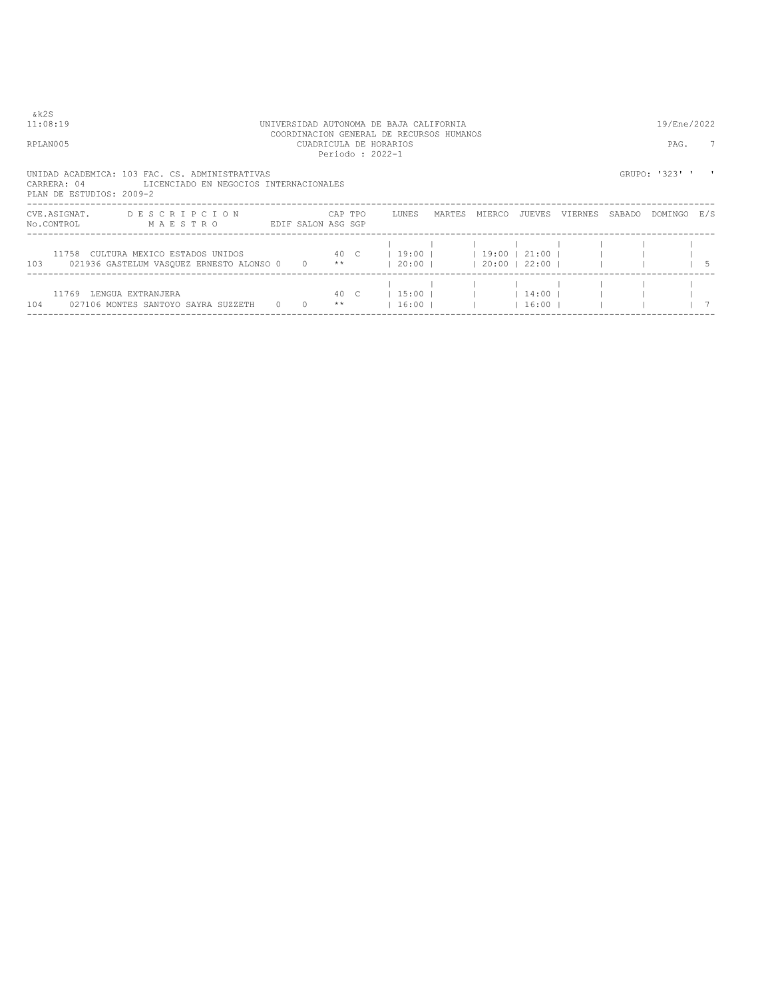| & k 2 S<br>11:08:19                     |                                                                                          |                 |                       |                 | UNIVERSIDAD AUTONOMA DE BAJA CALIFORNIA<br>COORDINACION GENERAL DE RECURSOS HUMANOS |        |                                |                      |         |        | 19/Ene/2022    |    |
|-----------------------------------------|------------------------------------------------------------------------------------------|-----------------|-----------------------|-----------------|-------------------------------------------------------------------------------------|--------|--------------------------------|----------------------|---------|--------|----------------|----|
| RPLAN005                                |                                                                                          |                 |                       | Periodo: 2022-1 | CUADRICULA DE HORARIOS                                                              |        |                                |                      |         |        | PAG.           | -7 |
| CARRERA: 04<br>PLAN DE ESTUDIOS: 2009-2 | UNIDAD ACADEMICA: 103 FAC. CS. ADMINISTRATIVAS<br>LICENCIADO EN NEGOCIOS INTERNACIONALES |                 |                       |                 |                                                                                     |        |                                |                      |         |        | GRUPO: '323' ' |    |
| CVE.ASIGNAT.<br>No.CONTROL              | DESCRIPCION<br>MAESTRO<br>EDIF SALON ASG SGP                                             |                 |                       | CAP TPO         | LUNES                                                                               | MARTES | MIERCO                         | JUEVES               | VIERNES | SABADO | DOMINGO E/S    |    |
|                                         | 11758 CULTURA MEXICO ESTADOS UNIDOS<br>103 021936 GASTELUM VASQUEZ ERNESTO ALONSO 0 0 ** | 40 <sup>°</sup> |                       |                 | $19:00$                                                                             |        | $19:00$  <br>  20:00     20:00 | 21:00  <br>22:00 1   |         |        |                |    |
| 11769 LENGUA EXTRANJERA                 | 104 027106 MONTES SANTOYO SAYRA SUZZETH 0 0                                              |                 | 40 C<br>$\star \star$ |                 | $15:00$  <br>$1\,6:00$ 1                                                            |        |                                | $14:00$  <br>16:00 1 |         |        |                |    |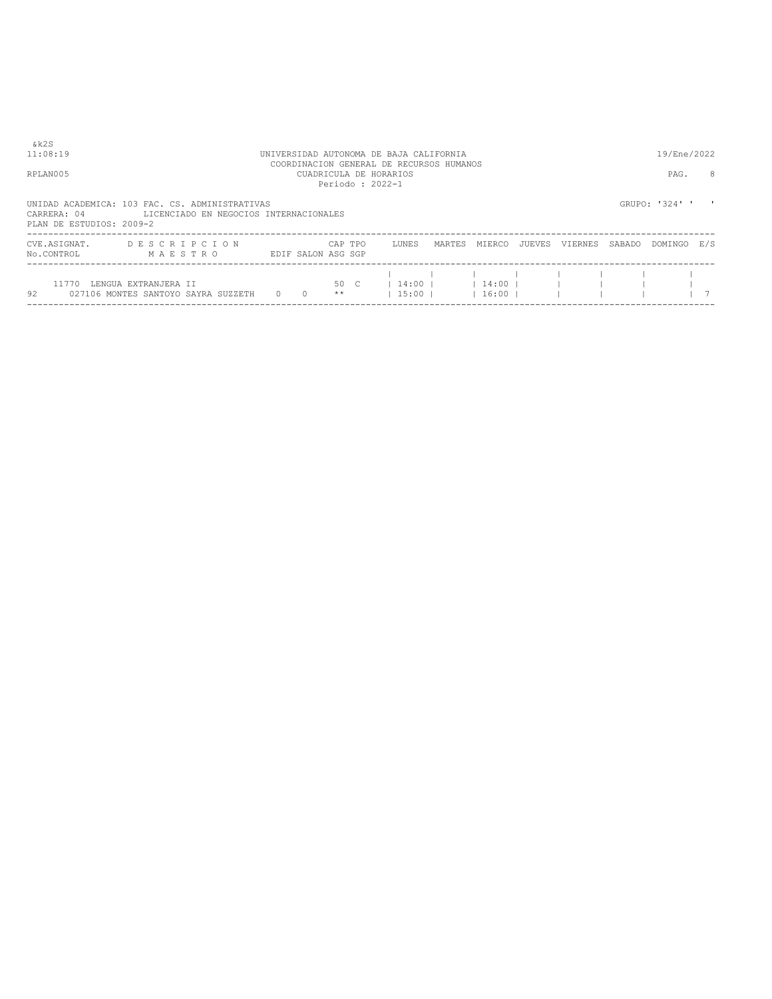| 11:08:19                                |                                                                                          |          |                    |            | UNIVERSIDAD AUTONOMA DE BAJA CALIFORNIA                                               |        |                      |        |         |        | 19/Ene/2022    |     |
|-----------------------------------------|------------------------------------------------------------------------------------------|----------|--------------------|------------|---------------------------------------------------------------------------------------|--------|----------------------|--------|---------|--------|----------------|-----|
| RPLAN005                                |                                                                                          |          |                    |            | COORDINACION GENERAL DE RECURSOS HUMANOS<br>CUADRICULA DE HORARIOS<br>Periodo: 2022-1 |        |                      |        |         |        | PAG.           | 8   |
| CARRERA: 04<br>PLAN DE ESTUDIOS: 2009-2 | UNIDAD ACADEMICA: 103 FAC. CS. ADMINISTRATIVAS<br>LICENCIADO EN NEGOCIOS INTERNACIONALES |          |                    |            |                                                                                       |        |                      |        |         |        | GRUPO: '324' ' |     |
| CVE.ASIGNAT.<br>No.CONTROL              | DESCRIPCION<br>MAESTRO                                                                   |          | EDIF SALON ASG SGP | CAP TPO    | LUNES                                                                                 | MARTES | MIERCO               | JUEVES | VIERNES | SABADO | DOMINGO        | E/S |
| 11770<br>92                             | LENGUA EXTRANJERA II<br>027106 MONTES SANTOYO SAYRA SUZZETH                              | $\Omega$ | $\overline{0}$     | 50 C<br>** | $14:00$ $\pm$<br>$15:00$                                                              |        | $14:00$ l<br>$16:00$ |        |         |        |                |     |

----------------------------------------------------------------------------------------------------------------------------------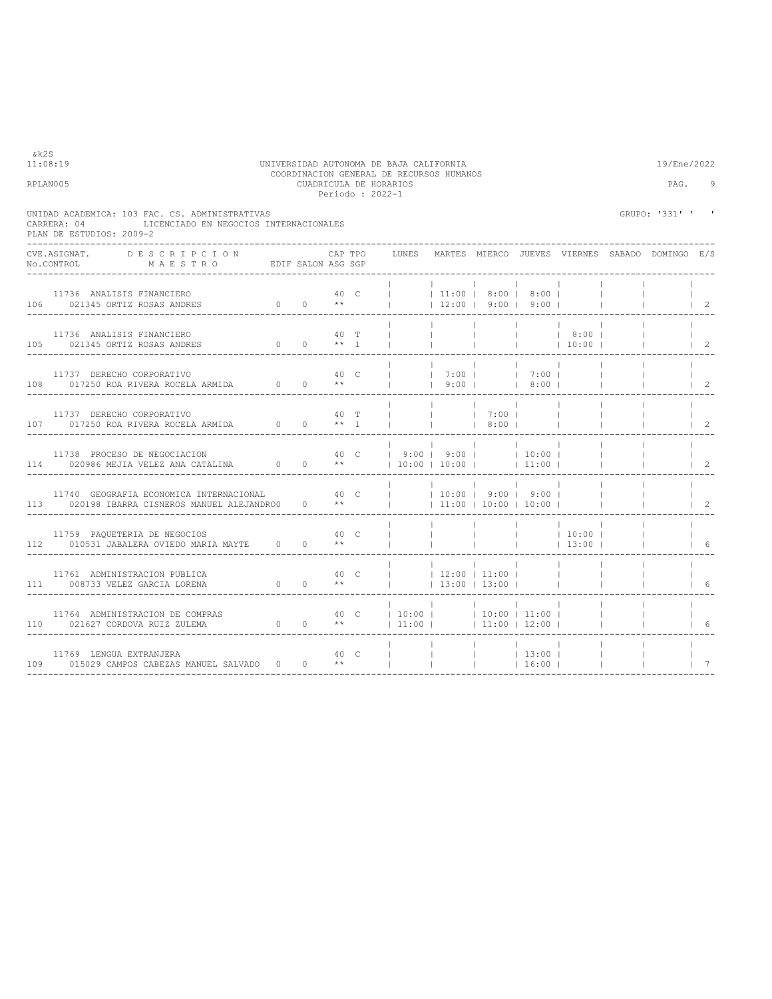| &k2S | 11:08:19                                                                                                                                                                                                                                                           |      |      |         | UNIVERSIDAD AUTONOMA DE BAJA CALIFORNIA                                                |                                                                         |                                |                          |                            |                             | 19/Ene/2022                                     |                                      |
|------|--------------------------------------------------------------------------------------------------------------------------------------------------------------------------------------------------------------------------------------------------------------------|------|------|---------|----------------------------------------------------------------------------------------|-------------------------------------------------------------------------|--------------------------------|--------------------------|----------------------------|-----------------------------|-------------------------------------------------|--------------------------------------|
|      | RPLAN005                                                                                                                                                                                                                                                           |      |      |         | COORDINACION GENERAL DE RECURSOS HUMANOS<br>CUADRICULA DE HORARIOS<br>Periodo : 2022-1 |                                                                         |                                |                          |                            |                             | PAG.                                            | 9                                    |
|      | UNIDAD ACADEMICA: 103 FAC. CS. ADMINISTRATIVAS<br>LICENCIADO EN NEGOCIOS INTERNACIONALES<br>CARRERA: 04<br>PLAN DE ESTUDIOS: 2009-2                                                                                                                                |      |      |         |                                                                                        |                                                                         |                                |                          |                            |                             | GRUPO: '331' '                                  | ,                                    |
|      | CVE.ASIGNAT. DESCRIPCION<br>No.CONTROL MAESTRO EDIF SALON ASG SGP                                                                                                                                                                                                  |      |      | CAP TPO | LUNES                                                                                  |                                                                         |                                |                          |                            |                             | MARTES MIERCO JUEVES VIERNES SABADO DOMINGO E/S |                                      |
|      | 11736 ANALISIS FINANCIERO<br>$0 \qquad 0 \qquad **$<br>106 021345 ORTIZ ROSAS ANDRES                                                                                                                                                                               | 40 C |      |         |                                                                                        | 11:00 8:00 8:00 <br>$\vert$ 12:00   9:00   9:00                         |                                |                          |                            |                             |                                                 | $\begin{array}{ccc} \end{array}$     |
|      | 11736 ANALISIS FINANCIERO<br>105 021345 ORTIZ ROSAS ANDRES 0 0 $**$ 1                                                                                                                                                                                              |      | 40 T |         |                                                                                        | <b>Contract</b>                                                         | $\mathbf{1}$                   | <b>Contract Contract</b> | 8:00  <br>$ $ 10:00        |                             |                                                 | 2                                    |
|      | 11737 DERECHO CORPORATIVO $40$ C<br>108 017250 ROA RIVERA ROCELA ARMIDA 0 0 **                                                                                                                                                                                     |      |      |         | $\mathbb{R}$                                                                           | 7:00  <br>  9:00   8:00                                                 |                                | $1 \t7:00 \t1$           |                            |                             |                                                 |                                      |
|      | 11737 DERECHO CORPORATIVO                                                                                                                                                                                                                                          |      | 40 T |         |                                                                                        | <b>Contract</b>                                                         | 7:00<br>  8:00                 |                          |                            |                             |                                                 | $1 \quad 2$                          |
|      | 11738 PROCESO DE NEGOCIACION<br>114 020986 MEJIA VELEZ ANA CATALINA $0$ 0 $**$                                                                                                                                                                                     |      |      |         | 40 C   9:00   9:00     10:00                                                           | $ 10:00 10:00 $ $ 11:00 $                                               |                                |                          |                            |                             |                                                 | $1\quad 2$                           |
|      | 11740 GEOGRAFIA ECONOMICA INTERNACIONAL<br>113 020198 IBARRA CISNEROS MANUEL ALEJANDRO0 0 **                                                                                                                                                                       | 40 C |      |         |                                                                                        | $\sim$ 10<br>$ $ 10:00   9:00   9:00  <br>$\vert$ 11:00   10:00   10:00 | <b>Contract</b>                |                          |                            | <b>Contract</b>             |                                                 | $\begin{array}{ccc} & 2 \end{array}$ |
|      | 11759 PAQUETERIA DE NEGOCIOS<br>112 010531 JABALERA OVIEDO MARIA MAYTE 0 0 **                                                                                                                                                                                      |      | 40 C |         |                                                                                        | <b>Contract</b>                                                         | $\mathbb{R}^n$                 |                          | $ $ 10:00  <br>$1$ 13:00 1 |                             |                                                 | 16                                   |
|      | $40-$<br>11761 ADMINISTRACION PUBLICA<br>111 008733 VELEZ GARCIA LORENA $0$ 0 **                                                                                                                                                                                   |      |      |         |                                                                                        | $ $ 12:00   11:00  <br>$\vert$ 13:00   13:00                            |                                |                          | $\sim$ 100 $\sim$          |                             |                                                 |                                      |
|      | 11764 ADMINISTRACION DE COMPRAS $\begin{array}{c ccc} 11764 & 21164 & 10160 & 10160 & 10160 & 10160 & 10160 & 10160 & 10160 & 10160 & 10160 & 10160 & 10160 & 10160 & 10160 & 10160 & 10160 & 10160 & 10160 & 10160 & 10160 & 10160 & 10160 & 10160 & 10160 & 101$ |      |      |         |                                                                                        |                                                                         |                                |                          |                            | $\mathbb{R}^n$              |                                                 |                                      |
|      | 11769 LENGUA EXTRANJERA<br>109 015029 CAMPOS CABEZAS MANUEL SALVADO 0 0 **                                                                                                                                                                                         |      | 40 C |         | $\mathbb{R}^n$ and $\mathbb{R}^n$                                                      |                                                                         | $ $ 13:00  <br>$1 \t16:00 \t1$ |                          |                            | <b>College</b><br>$\sim$ 1. |                                                 | 7                                    |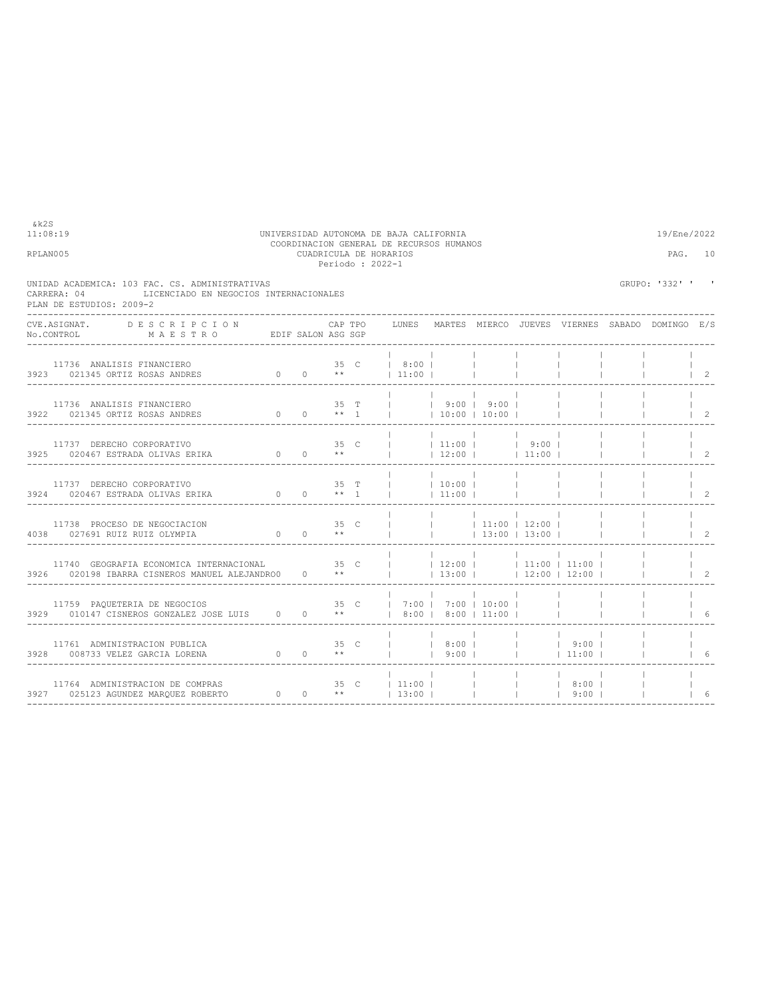| RPLAN005 |                                                                                                                                                                                   |  |  | CUADRICULA DE HORARIOS<br>Periodo: 2022-1                                                                                          |                                     |                                                      |                          |                                                       |                          | PAG. 10                                      |
|----------|-----------------------------------------------------------------------------------------------------------------------------------------------------------------------------------|--|--|------------------------------------------------------------------------------------------------------------------------------------|-------------------------------------|------------------------------------------------------|--------------------------|-------------------------------------------------------|--------------------------|----------------------------------------------|
|          | UNIDAD ACADEMICA: 103 FAC. CS. ADMINISTRATIVAS<br>LICENCIADO EN NEGOCIOS INTERNACIONALES<br>CARRERA: 04<br>PLAN DE ESTUDIOS: 2009-2                                               |  |  |                                                                                                                                    |                                     |                                                      |                          |                                                       | GRUPO: '332' ' '         |                                              |
|          | CVE.ASIGNAT. DESCRIPCION CAPTPO<br>No.CONTROL MAESTRO EDIFSALON ASGSGP<br>--------------------                                                                                    |  |  |                                                                                                                                    |                                     |                                                      |                          | LUNES MARTES MIERCO JUEVES VIERNES SABADO DOMINGO E/S |                          |                                              |
|          | 11736 ANALISIS FINANCIERO<br>3923 021345 ORTIZ ROSAS ANDRES 0 0 0 **   11:00                                                                                                      |  |  |                                                                                                                                    |                                     |                                                      | <b>Contract Contract</b> |                                                       |                          | $1\quad 2$                                   |
|          | 11736 ANALISIS FINANCIERO<br>3922 021345 ORTIZ ROSAS ANDRES                                                                                                                       |  |  | 35 T     9:00   9:00                                                                                                               | and the contract of the contract of | and the property of the<br>$10:00$   10:00           |                          |                                                       |                          | $\vert$ 2                                    |
|          | $\begin{tabular}{lllllllll} & & & \mbox{if $1131$ & DERECHO CORPORTIVO & & & & & & 35 & C \\ & & & & & & & & & 35 & C \\ & & & & & & & & & 0 & 0 & * \end{tabular}$               |  |  | $\frac{1}{1}$ 11:00   9:00  <br>$ 12:00 $ $ 11:00 $                                                                                |                                     |                                                      |                          |                                                       |                          | $1 \t2$                                      |
|          | $11737 \quad \text{DERECHO CORPORTIVO} \qquad \qquad 35 \quad \text{T} \\ 3924 \qquad 020467 \quad \text{ESTRADA OLIVAS ERIKA} \qquad \qquad 0 \qquad 0 \qquad \qquad ** \quad 1$ |  |  | $1 \t10:00 \t1$<br>$1 \t11:00 \t1$                                                                                                 | $\sim$ 1.                           |                                                      |                          |                                                       |                          | $\begin{array}{cc} \text{ } & 2 \end{array}$ |
|          | $11100$ Proteso DE NEGOCIACION 35 C<br>4038 027691 RUIZ RUIZ OLYMPIA 0 0 $**$                                                                                                     |  |  | $\begin{array}{ccccccccccc}   & &   & &   & 11:00 &   & 12:00 &   & & \\   & &   & &   & 13:00 &   & 13:00 &   & & \\ \end{array}$ |                                     |                                                      |                          |                                                       |                          | $1\quad 2$                                   |
|          | 11740 GEOGRAFIA ECONOMICA INTERNACIONAL 35 C     12:00     11:00   11:00  <br>3926 020198 IBARRA CISNEROS MANUEL ALEJANDRO0 0 **     13:00     12:00   12:00                      |  |  |                                                                                                                                    |                                     | <b>Contract Contract</b>                             |                          |                                                       |                          | $\begin{array}{ccc} & 2 \end{array}$         |
|          | 11759 PAQUETERIA DE NEGOCIOS $35$ C $17:00$   7:00   10:00   $1$   $329$ 010147 CISNEROS GONZALEZ JOSE LUIS 0 0 **   8:00   8:00   11:00                                          |  |  |                                                                                                                                    |                                     |                                                      |                          |                                                       |                          |                                              |
|          | 11761 ADMINISTRACION PUBLICA<br>0 0 ** 1 9:00   1 11:00  <br>3928 008733 VELEZ GARCIA LORENA                                                                                      |  |  |                                                                                                                                    |                                     |                                                      |                          |                                                       | <b>Contract Contract</b> | 16                                           |
|          |                                                                                                                                                                                   |  |  |                                                                                                                                    |                                     | <b>Contract Contract</b><br><b>Contract Contract</b> |                          |                                                       |                          | 6                                            |

11:08:19 UNIVERSIDAD AUTONOMA DE BAJA CALIFORNIA 19/Ene/2022 COORDINACION GENERAL DE RECURSOS HUMANOS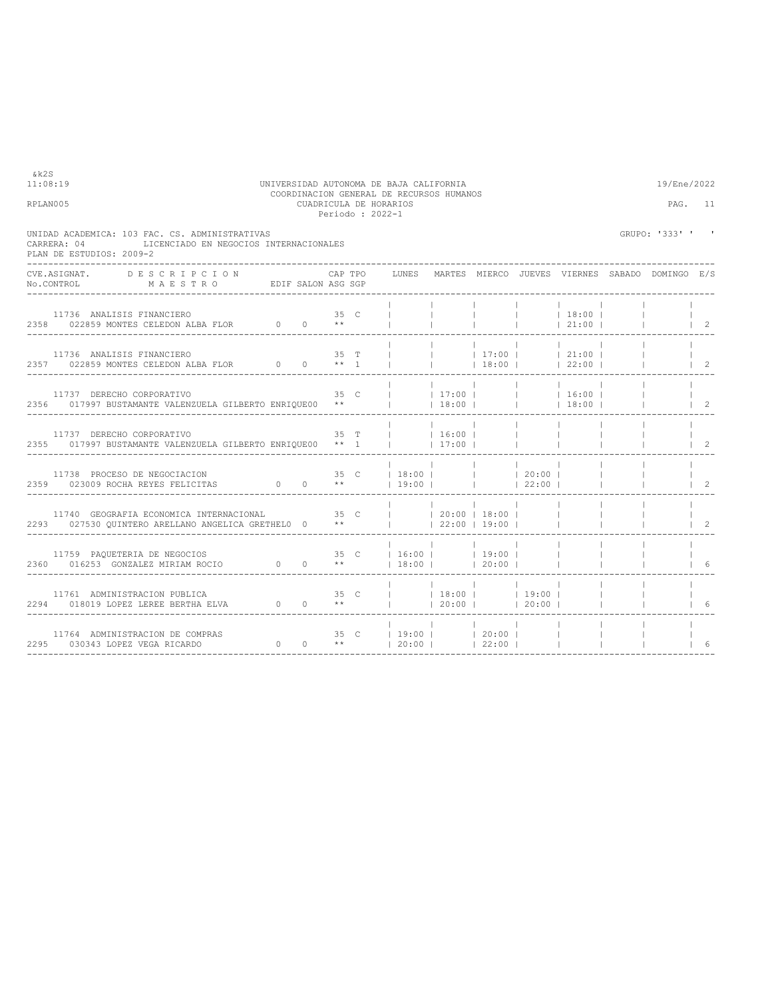| &k2S<br>11:08:19<br>RPLAN005                                                                                                                                                                                                                                                                                                                                                                                                                                                               |  |         | UNIVERSIDAD AUTONOMA DE BAJA CALIFORNIA<br>COORDINACION GENERAL DE RECURSOS HUMANOS<br>CUADRICULA DE HORARIOS<br>Periodo : 2022-1 |                          |                          |                                                    |                           | 19/Ene/2022<br>PAG. 11                                |                                      |
|--------------------------------------------------------------------------------------------------------------------------------------------------------------------------------------------------------------------------------------------------------------------------------------------------------------------------------------------------------------------------------------------------------------------------------------------------------------------------------------------|--|---------|-----------------------------------------------------------------------------------------------------------------------------------|--------------------------|--------------------------|----------------------------------------------------|---------------------------|-------------------------------------------------------|--------------------------------------|
| UNIDAD ACADEMICA: 103 FAC. CS. ADMINISTRATIVAS<br>CARRERA: 04<br>LICENCIADO EN NEGOCIOS INTERNACIONALES<br>PLAN DE ESTUDIOS: 2009-2                                                                                                                                                                                                                                                                                                                                                        |  |         |                                                                                                                                   |                          |                          |                                                    |                           | GRUPO: '333' ' '                                      |                                      |
| <b>DESCRIPCION</b><br>CVE ASTGNAT.<br>$\verb No.CONTROL  \qquad \qquad \verb M A E S T R O  \qquad \qquad \verb EDIF SALON ASS SGP  \qquad \qquad \verb N.75  \qquad \qquad \verb M A E S T R O  \qquad \qquad \verb EDIF SALON ASS SGP  \qquad \qquad \verb N.75  \qquad \qquad \verb N.75  \qquad \qquad \verb N.75  \qquad \qquad \verb N.75  \qquad \qquad \verb N.75  \qquad \qquad \verb N.75  \qquad \qquad \verb N.75  \qquad \qquad \verb N.75  \qquad \qquad \verb N.75  \qquad$ |  | CAP TPO |                                                                                                                                   |                          |                          |                                                    |                           | LUNES MARTES MIERCO JUEVES VIERNES SABADO DOMINGO E/S |                                      |
| 11736 ANALISIS FINANCIERO 35 C<br>2358 022859 MONTES CELEDON ALBA FLOR 0 0 **                                                                                                                                                                                                                                                                                                                                                                                                              |  |         |                                                                                                                                   | <b>Contract Contract</b> | <b>Contract Contract</b> |                                                    | $ $ 18:00  <br>$121:00$ 1 |                                                       | $1 \quad 2$                          |
| 11736 ANALISIS FINANCIERO                                                                                                                                                                                                                                                                                                                                                                                                                                                                  |  |         | 35 T $\overrightarrow{1}$   17:00   21:00                                                                                         |                          |                          |                                                    |                           |                                                       | $1\quad 2$                           |
| 11737 DERECHO CORPORATIVO<br>2356 017997 BUSTAMANTE VALENZUELA GILBERTO ENRIQUE00 **     18:00         18:00                                                                                                                                                                                                                                                                                                                                                                               |  |         | 35 C     17:00       16:00                                                                                                        |                          |                          |                                                    |                           |                                                       | $1\quad 2$                           |
| 11737 DERECHO CORPORATIVO<br>2355 017997 BUSTAMANTE VALENZUELA GILBERTO ENRIOUE00 ** 1     17:00                                                                                                                                                                                                                                                                                                                                                                                           |  |         | 35 T   16:00                                                                                                                      |                          |                          | <b>Contract</b><br>and the property of the         |                           |                                                       | $\begin{array}{ccc} & 2 \end{array}$ |
| 11738 PROCESO DE NEGOCIACION<br>2359 023009 ROCHA REYES FELICITAS                                                                                                                                                                                                                                                                                                                                                                                                                          |  |         | 35 C   18:00    <br>0 0 ** 19:00   22:00                                                                                          |                          |                          | 20:00                                              |                           |                                                       | $1\quad 2$                           |
| 11740 GEOGRAFIA ECONOMICA INTERNACIONAL $\begin{array}{ccc} 35 & C &   &   & 20:00   & 18:00   \\ 2293 & 027530 & QUINTERO ARELLAND ANGELICA GRETHELO & 0 & * &   &   & 22:00   & 19:00   \end{array}$                                                                                                                                                                                                                                                                                     |  |         |                                                                                                                                   |                          |                          |                                                    |                           |                                                       | $1 \quad 2$                          |
| 11759 PAQUETERIA DE NEGOCIOS $\begin{array}{ccccccccc} & & & & & & 35 & C &   & 16:00 &   & &   & 19:00 &   \\ & & & & & & & & 35 & C &   & 16:00 &   & &   & 20:00 &   \\ 2360 & & 016253 & GONZALEZ MIRIAM ROCIO & & & 0 & 0 & * &   & 18:00 &   & &   & 20:00 &   \end{array}$                                                                                                                                                                                                          |  |         |                                                                                                                                   |                          | $120:00$ 1               |                                                    |                           |                                                       | 16                                   |
| 11761 ADMINISTRACION PUBLICA<br>2294 018019 LOPEZ LEREE BERTHA ELVA $0$ 0 $**$                                                                                                                                                                                                                                                                                                                                                                                                             |  |         | 35 C     18:00     19:00                                                                                                          | $120:00$ $1$             |                          | <b>Contract Contract</b><br>$\sim$ 1<br>$120:00$ 1 |                           |                                                       | - 6                                  |
| RAS $35 \text{ C}$<br>0 0 **<br>11764 ADMINISTRACION DE COMPRAS<br>2295 030343 LOPEZ VEGA RICARDO                                                                                                                                                                                                                                                                                                                                                                                          |  |         | $ 19:00 $ $ 20:00 $<br> 20:00                                                                                                     |                          | 22:00                    |                                                    |                           |                                                       | 6                                    |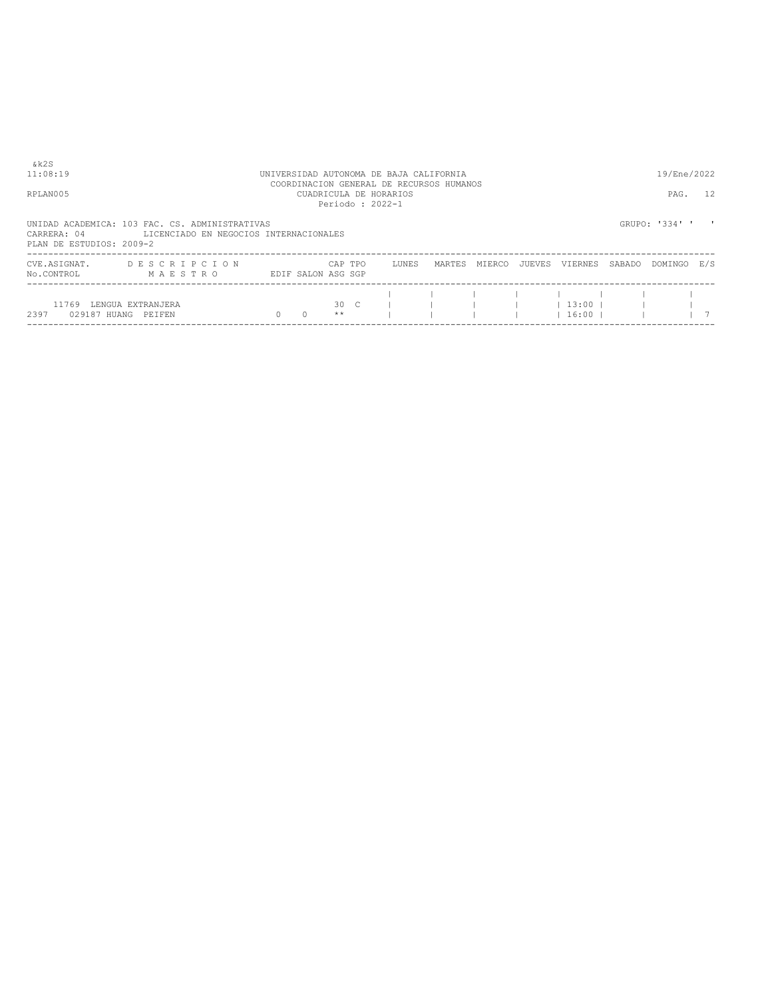| & k 2 S<br>11:08:19                     |                                                                                          |                    |               |                 | UNIVERSIDAD AUTONOMA DE BAJA CALIFORNIA<br>COORDINACION GENERAL DE RECURSOS HUMANOS |        |        |        |                     |        | 19/Ene/2022    |     |
|-----------------------------------------|------------------------------------------------------------------------------------------|--------------------|---------------|-----------------|-------------------------------------------------------------------------------------|--------|--------|--------|---------------------|--------|----------------|-----|
| RPLAN005                                |                                                                                          |                    |               | Periodo: 2022-1 | CUADRICULA DE HORARIOS                                                              |        |        |        |                     |        | PAG.           | 12  |
| CARRERA: 04<br>PLAN DE ESTUDIOS: 2009-2 | UNIDAD ACADEMICA: 103 FAC. CS. ADMINISTRATIVAS<br>LICENCIADO EN NEGOCIOS INTERNACIONALES |                    |               |                 |                                                                                     |        |        |        |                     |        | GRUPO: '334' ' |     |
| CVE.ASIGNAT.<br>No.CONTROL              | DESCRIPCION<br>MAESTRO                                                                   | EDIF SALON ASG SGP | CAP TPO       |                 | LUNES                                                                               | MARTES | MIERCO | JUEVES | VIERNES             | SABADO | DOMINGO        | F/S |
| 11769<br>2397<br>029187 HUANG           | LENGUA EXTRANJERA<br>PEIFEN                                                              | $\Omega$           | 30 C<br>$* *$ |                 |                                                                                     |        |        |        | $13:00$ 1<br> 16:00 |        |                |     |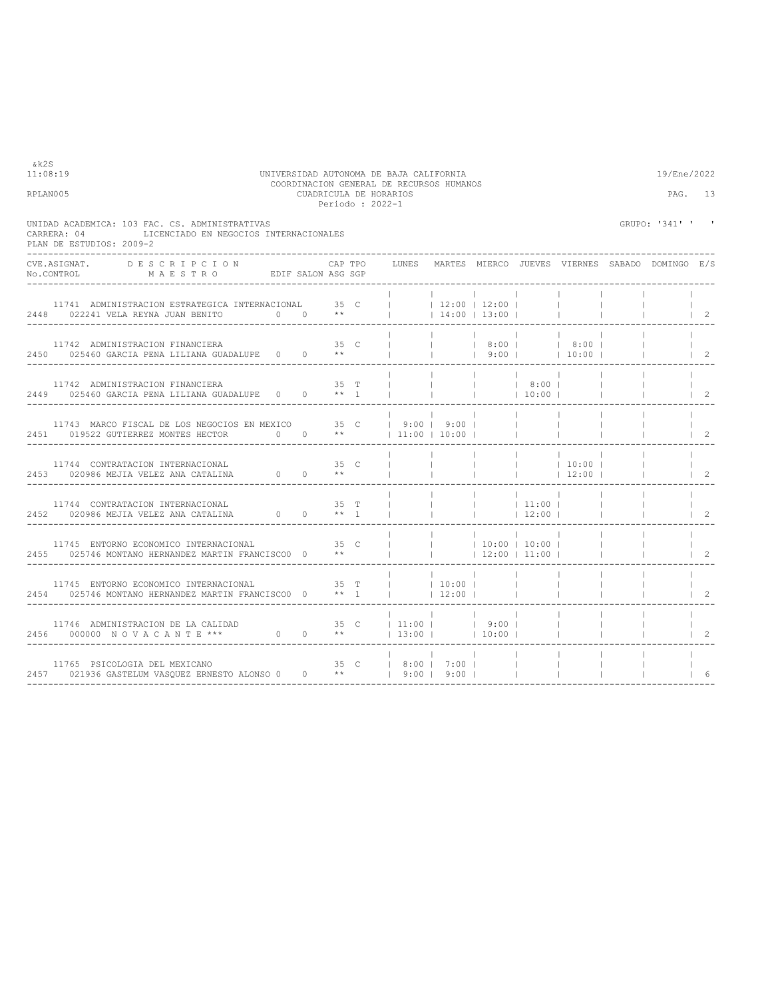| &k2S<br>11:08:19<br>UNIVERSIDAD AUTONOMA DE BAJA CALIFORNIA<br>RPLAN005                                                             | COORDINACION GENERAL DE RECURSOS HUMANOS |         |        |                                          | 19/Ene/2022<br>PAG. 13   |                                      |                                            |                                                 |              |                  |                                      |
|-------------------------------------------------------------------------------------------------------------------------------------|------------------------------------------|---------|--------|------------------------------------------|--------------------------|--------------------------------------|--------------------------------------------|-------------------------------------------------|--------------|------------------|--------------------------------------|
| UNIDAD ACADEMICA: 103 FAC. CS. ADMINISTRATIVAS<br>LICENCIADO EN NEGOCIOS INTERNACIONALES<br>CARRERA: 04<br>PLAN DE ESTUDIOS: 2009-2 |                                          |         |        |                                          |                          |                                      |                                            |                                                 |              | GRUPO: '341' ' ' |                                      |
| CVE ASIGNAT.<br>DESCRIPCION<br>MAESTRO EDIF SALON ASG SGP<br>No.CONTROL                                                             |                                          | CAP TPO |        | LUNES                                    |                          |                                      |                                            | MARTES MIERCO JUEVES VIERNES SABADO DOMINGO E/S |              |                  |                                      |
| 11741 ADMINISTRACION ESTRATEGICA INTERNACIONAL 35 C<br>2448 022241 VELA REYNA JUAN BENITO $0 \t 0 \t \star \t 1$ (14:00   13:00     |                                          |         |        | $12:00$   12:00                          |                          |                                      |                                            | <b>Contract Contract</b>                        |              |                  | $\vert$ 2                            |
| 11742 ADMINISTRACION FINANCIERA 65 C<br>2450 025460 GARCIA PENA LILIANA GUADALUPE 0 0 **                                            |                                          |         |        |                                          | <b>Contract Contract</b> | 8:00  <br> 9:00                      |                                            | 8:00  <br>$10:00$ 1                             |              |                  |                                      |
| 11742 ADMINISTRACION FINANCIERA 35 T   $2449$ 025460 GARCIA PENA LILIANA GUADALUPE 0 0 ** 1                                         |                                          |         |        |                                          | <b>Contract</b>          | <b>Contract</b><br>  10:00           | 8:00                                       |                                                 |              |                  | $\vert$ 2                            |
| 11743 MARCO FISCAL DE LOS NEGOCIOS EN MEXICO 35 C<br>2451 019522 GUTIERREZ MONTES HECTOR 0 0 **                                     |                                          |         |        | $1$ 9:00   9:00  <br>$11:00$ $10:00$ $1$ |                          |                                      | <b>College</b>                             |                                                 |              |                  | $\vert$ 2                            |
| 11744 CONTRATACION INTERNACIONAL<br>2453 020986 MEJIA VELEZ ANA CATALINA $0$ 0 **                                                   |                                          | 35 C    |        |                                          | <b>Contract Contract</b> | <b>College</b>                       | <b>Contract Contract</b><br><b>College</b> | 10:00 <br> 12:00                                |              |                  | $\frac{1}{2}$                        |
| 11744 CONTRATACION INTERNACIONAL<br>2452 020986 MEJIA VELEZ ANA CATALINA 0 0 ** 1                                                   |                                          |         | $35$ T |                                          |                          | <b>Contract</b>                      | 11:00 <br>$12:00$                          | $\sim$ 1.                                       |              |                  | $\vert$ 2                            |
| 11745 ENTORNO ECONOMICO INTERNACIONAL 35 C<br>2455 025746 MONTANO HERNANDEZ MARTIN FRANCISCO0 0 **                                  |                                          |         |        |                                          | <b>Contract Contract</b> | $10:00$   10:00  <br>$12:00$   11:00 |                                            |                                                 | $\mathbb{R}$ |                  | $\vert$ 2                            |
| 11745 ENTORNO ECONOMICO INTERNACIONAL $35$ T $\vert$ 10:00   2454 025746 MONTANO HERNANDEZ MARTIN FRANCISCO0 0 ** 1     12:00       |                                          |         |        |                                          |                          |                                      | <b>Contract Contract</b>                   | <b>Contract Contract</b>                        |              |                  | $\begin{array}{ccc} \end{array}$     |
| 11746 ADMINISTRACION DE LA CALIDAD 35 C   11:00     9:00   2456 000000 N O V A C A N T E *** 0 0 1   13:00     10:00                |                                          |         |        |                                          |                          | $9:00$                               |                                            | <b>Contract Contract</b>                        |              |                  | $\begin{array}{ccc} & 2 \end{array}$ |
| 11765 PSICOLOGIA DEL MEXICANO<br>2457 021936 GASTELUM VASOUEZ ERNESTO ALONSO 0 0 **   9:00   9:00                                   |                                          |         |        | 35 C   8:00   7:00                       |                          |                                      | <b>Contract Contract</b>                   | <b>Contract Contract</b>                        | $\mathbb{R}$ |                  | 16                                   |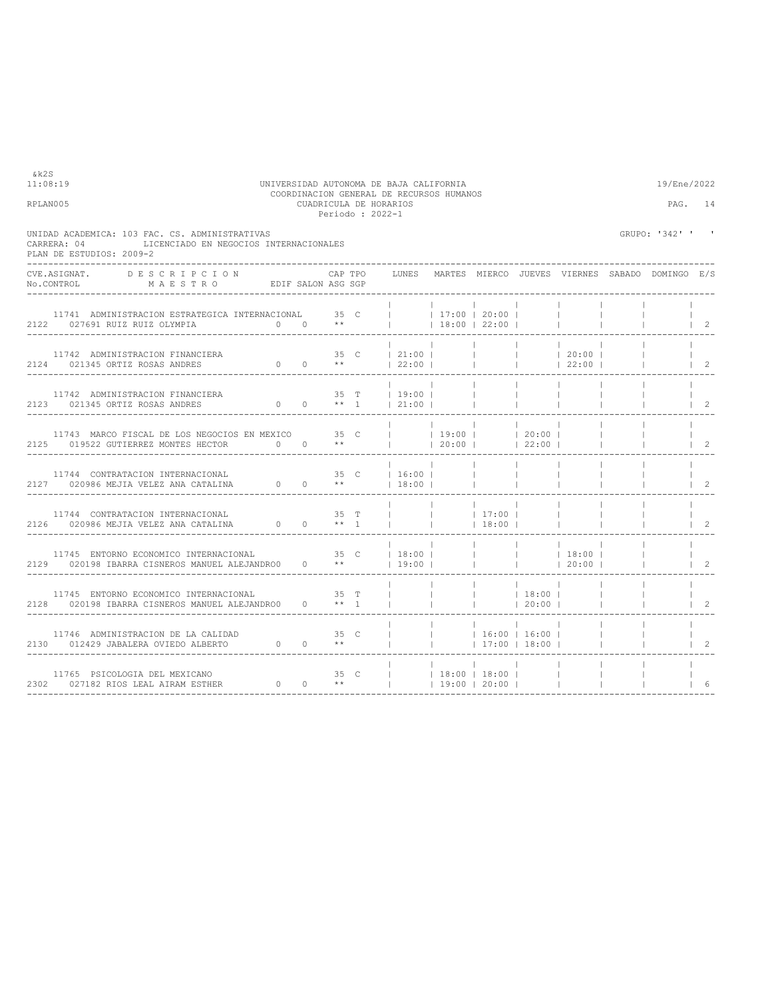| 11:08:19<br>UNIVERSIDAD AUTONOMA DE BAJA CALIFORNIA |                                                |                     |                                        |         |                                                                                    |                                                                                                                                                                                                                                                            |                                                                      |                                                                                                                                                                                                                                                                            | 19/Ene/2022                                                                                                                                                                                                                                                            |                                                                                                                                                                                                                                                                                                                                                                                                                                                    |                                                                           |  |
|-----------------------------------------------------|------------------------------------------------|---------------------|----------------------------------------|---------|------------------------------------------------------------------------------------|------------------------------------------------------------------------------------------------------------------------------------------------------------------------------------------------------------------------------------------------------------|----------------------------------------------------------------------|----------------------------------------------------------------------------------------------------------------------------------------------------------------------------------------------------------------------------------------------------------------------------|------------------------------------------------------------------------------------------------------------------------------------------------------------------------------------------------------------------------------------------------------------------------|----------------------------------------------------------------------------------------------------------------------------------------------------------------------------------------------------------------------------------------------------------------------------------------------------------------------------------------------------------------------------------------------------------------------------------------------------|---------------------------------------------------------------------------|--|
|                                                     |                                                |                     |                                        |         |                                                                                    |                                                                                                                                                                                                                                                            |                                                                      |                                                                                                                                                                                                                                                                            |                                                                                                                                                                                                                                                                        |                                                                                                                                                                                                                                                                                                                                                                                                                                                    | PAG. 14                                                                   |  |
|                                                     |                                                |                     |                                        |         |                                                                                    |                                                                                                                                                                                                                                                            |                                                                      |                                                                                                                                                                                                                                                                            |                                                                                                                                                                                                                                                                        |                                                                                                                                                                                                                                                                                                                                                                                                                                                    |                                                                           |  |
|                                                     |                                                |                     |                                        |         |                                                                                    |                                                                                                                                                                                                                                                            |                                                                      |                                                                                                                                                                                                                                                                            |                                                                                                                                                                                                                                                                        |                                                                                                                                                                                                                                                                                                                                                                                                                                                    |                                                                           |  |
|                                                     |                                                |                     |                                        |         |                                                                                    |                                                                                                                                                                                                                                                            |                                                                      |                                                                                                                                                                                                                                                                            |                                                                                                                                                                                                                                                                        |                                                                                                                                                                                                                                                                                                                                                                                                                                                    | $\vert$ 2                                                                 |  |
|                                                     |                                                |                     |                                        |         |                                                                                    |                                                                                                                                                                                                                                                            |                                                                      |                                                                                                                                                                                                                                                                            |                                                                                                                                                                                                                                                                        |                                                                                                                                                                                                                                                                                                                                                                                                                                                    | $\vert$ 2                                                                 |  |
|                                                     |                                                |                     |                                        |         |                                                                                    |                                                                                                                                                                                                                                                            |                                                                      |                                                                                                                                                                                                                                                                            |                                                                                                                                                                                                                                                                        |                                                                                                                                                                                                                                                                                                                                                                                                                                                    | $\vert$ 2                                                                 |  |
|                                                     |                                                |                     |                                        |         |                                                                                    |                                                                                                                                                                                                                                                            |                                                                      |                                                                                                                                                                                                                                                                            |                                                                                                                                                                                                                                                                        |                                                                                                                                                                                                                                                                                                                                                                                                                                                    | $1 \quad 2$                                                               |  |
|                                                     |                                                |                     |                                        |         |                                                                                    |                                                                                                                                                                                                                                                            |                                                                      |                                                                                                                                                                                                                                                                            |                                                                                                                                                                                                                                                                        |                                                                                                                                                                                                                                                                                                                                                                                                                                                    | $\begin{array}{ccc} & 2 \end{array}$                                      |  |
|                                                     |                                                |                     |                                        |         |                                                                                    |                                                                                                                                                                                                                                                            |                                                                      |                                                                                                                                                                                                                                                                            |                                                                                                                                                                                                                                                                        |                                                                                                                                                                                                                                                                                                                                                                                                                                                    | $1\quad 2$                                                                |  |
|                                                     |                                                |                     |                                        |         |                                                                                    |                                                                                                                                                                                                                                                            |                                                                      |                                                                                                                                                                                                                                                                            |                                                                                                                                                                                                                                                                        |                                                                                                                                                                                                                                                                                                                                                                                                                                                    | $1 \quad 2$                                                               |  |
|                                                     |                                                |                     |                                        |         |                                                                                    |                                                                                                                                                                                                                                                            |                                                                      |                                                                                                                                                                                                                                                                            |                                                                                                                                                                                                                                                                        |                                                                                                                                                                                                                                                                                                                                                                                                                                                    | $1\quad 2$                                                                |  |
|                                                     |                                                |                     |                                        |         |                                                                                    |                                                                                                                                                                                                                                                            |                                                                      |                                                                                                                                                                                                                                                                            |                                                                                                                                                                                                                                                                        |                                                                                                                                                                                                                                                                                                                                                                                                                                                    | $1\quad 2$                                                                |  |
|                                                     |                                                |                     |                                        |         |                                                                                    |                                                                                                                                                                                                                                                            |                                                                      |                                                                                                                                                                                                                                                                            |                                                                                                                                                                                                                                                                        |                                                                                                                                                                                                                                                                                                                                                                                                                                                    | -6                                                                        |  |
|                                                     | UNIDAD ACADEMICA: 103 FAC. CS. ADMINISTRATIVAS | ___________________ | LICENCIADO EN NEGOCIOS INTERNACIONALES | CAP TPO | CUADRICULA DE HORARIOS<br>Periodo: 2022-1<br>No.CONTROL MAESTRO EDIF SALON ASG SGP | <b>Contract</b><br>$\begin{tabular}{lcccccc} 11744 & \texttt{CONTRATACION INTERNACIONAL} & & & & 35 & C &   & 16:00   \\ 2127 & 020986 MEJIA VELEZ ANA CATALINA & 0 & 0 & ** &   & 18:00   \\ \end{tabular}$<br>11745 ENTORNO ECONOMICO INTERNACIONAL 35 T | COORDINACION GENERAL DE RECURSOS HUMANOS<br><b>Contract Contract</b> | and the control of the control of<br>$\begin{array}{cccccccccccccc} 11744 & \text{CONTRATACION INTERNACIONAL} & & & & & 35 & \text{T} & &   & &   & 17:00 &   \\ 2126 & 020986 & \text{MEJIA VELEX} & & & & & 0 & 0 & & ** & 1 &   &   &   &   & 18:00 &   \\ \end{array}$ | <b>Contract</b><br>_________________<br>$\sim$ 1<br>$\frac{1}{1}$ 18:00<br>11746 ADMINISTRACION DE LA CALIDAD $35$ C $\vert$   $\vert$   16:00   16:00   16:00   2130 012429 JABALERA OVIEDO ALBERTO 0 0 **           17:00   18:00  <br>$\vert$ $\vert$ 17:00   18:00 | 11742 ADMINISTRACION FINANCIERA<br>2124 021345 ORTIZ ROSAS ANDRES<br>2124 021345 ORTIZ ROSAS ANDRES<br>2124 021345 ORTIZ ROSAS ANDRES<br>2124 021345 ORTIZ ROSAS ANDRES<br>2124 021345 ORTIZ ROSAS ANDRES<br>11742 ADMINISTRACION FINANCIERA<br>2123 021345 ORTIZ ROSAS ANDRES 0 0 ** 1   21:00              <br><b>College</b><br><b>Contract</b><br>2128 020198 IBARRA CISNEROS MANUEL ALEJANDRO0 0 ** 1             20:00    <br><b>College</b> | GRUPO: '342' ' '<br>LUNES MARTES MIERCO JUEVES VIERNES SABADO DOMINGO E/S |  |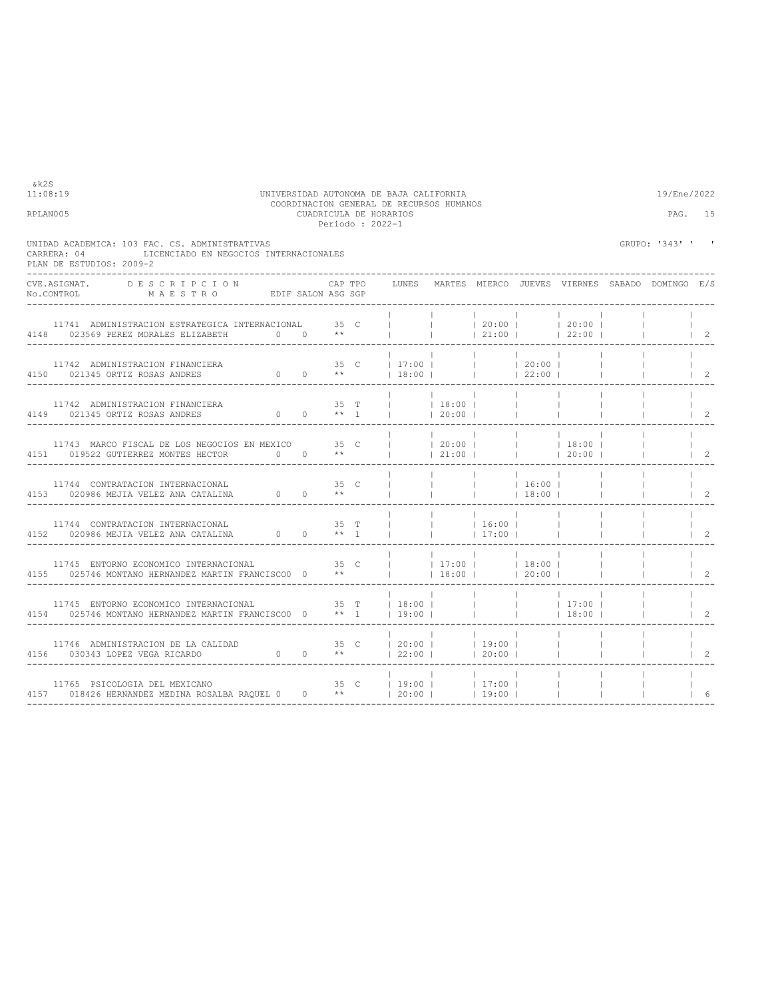| UNIDAD ACADEMICA: 103 FAC. CS. ADMINISTRATIVAS<br>CARRERA: 04<br>LICENCIADO EN NEGOCIOS INTERNACIONALES<br>PLAN DE ESTUDIOS: 2009-2                                                          |               |                 |                |                        |                                                  |                                             |                                                                                                                  | GRUPO: '343' ' '                                      |                                      |
|----------------------------------------------------------------------------------------------------------------------------------------------------------------------------------------------|---------------|-----------------|----------------|------------------------|--------------------------------------------------|---------------------------------------------|------------------------------------------------------------------------------------------------------------------|-------------------------------------------------------|--------------------------------------|
| CVE.ASIGNAT. DESCRIPCION                                                                                                                                                                     | CAP TPO       |                 |                |                        |                                                  |                                             |                                                                                                                  | LUNES MARTES MIERCO JUEVES VIERNES SABADO DOMINGO E/S |                                      |
| 11741 ADMINISTRACION ESTRATEGICA INTERNACIONAL 35 C 4148 023569 PEREZ MORALES ELIZABETH 0 0 **                                                                                               |               |                 |                |                        |                                                  |                                             | $ $ $ $ 20:00 $ $ $ $ 20:00 $ $<br>$ 21:00 $ $ 22:00 $                                                           |                                                       | $1\quad 2$                           |
| 11742 ADMINISTRACION FINANCIERA<br>4150 021345 ORTIZ ROSAS ANDRES                                                                                                                            |               |                 |                |                        |                                                  |                                             |                                                                                                                  |                                                       | $\overline{2}$                       |
| 11742 ADMINISTRACION FINANCIERA<br>0 0 $**$ 1     20:00  <br>4149 021345 ORTIZ ROSAS ANDRES                                                                                                  |               |                 | 35 T     18:00 |                        |                                                  | <b>Contract Contract</b><br><b>Contract</b> |                                                                                                                  |                                                       | $1\quad 2$                           |
| 11743 MARCO FISCAL DE LOS NEGOCIOS EN MEXICO 35 C<br>4151 019522 GUTIERREZ MONTES HECTOR 0 0 **                                                                                              |               |                 |                |                        |                                                  |                                             | $\begin{array}{cccccccc}   &   & 20:00 &   &   & 18:00 &   \\   &   & 21:00 &   &   &   & 20:00 &   \end{array}$ |                                                       | $\begin{array}{ccc} & 2 \end{array}$ |
| 11744 CONTRATACION INTERNACIONAL<br>4153 020986 MEJIA VELEZ ANA CATALINA 0 0                                                                                                                 | 35 C<br>$***$ |                 |                |                        |                                                  | 16:00 <br> 18:00                            |                                                                                                                  |                                                       | $\overline{2}$                       |
| 11744 CONTRATACION INTERNACIONAL<br>4152 020986 MEJIA VELEZ ANA CATALINA $0$ 0 ** 1                                                                                                          | 35 T          | <b>Contract</b> |                | <b>College College</b> | $16:00$  <br>$17:00$ $1$                         |                                             | <b>Contract Contract</b>                                                                                         |                                                       | $1 \t2$                              |
| 11745 ENTORNO ECONOMICO INTERNACIONAL $\begin{array}{ccccccccc} & & & & & & 35 & C &   & &   & 17:00 &   & &   & 18:00 &   \end{array}$<br>4155 025746 MONTANO HERNANDEZ MARTIN FRANCISCO0 0 |               |                 |                |                        |                                                  |                                             |                                                                                                                  |                                                       | $1 \t2$                              |
| 11745 ENTORNO ECONOMICO INTERNACIONAL 35 T   18:00  <br>4154 025746 MONTANO HERNANDEZ MARTIN FRANCISCO0 0 ** 1   19:00                                                                       |               |                 |                |                        |                                                  |                                             |                                                                                                                  |                                                       | $1\quad 2$                           |
|                                                                                                                                                                                              |               |                 |                |                        |                                                  |                                             | <b>Contractor</b><br>and the projection                                                                          |                                                       | $1 \quad 2$                          |
| 11765 PSICOLOGIA DEL MEXICANO<br>4157 018426 HERNANDEZ MEDINA ROSALBA RAQUEL 0 0 **                                                                                                          |               |                 |                |                        | 35 C   19:00     17:00  <br>**   20:00     19:00 |                                             |                                                                                                                  |                                                       |                                      |

11:08:19 UNIVERSIDAD AUTONOMA DE BAJA CALIFORNIA 19/Ene/2022 COORDINACION GENERAL DE RECURSOS HUMANOS RPLAN005 CUADRICULA DE HORARIOS PAG. 15 Periodo : 2022-1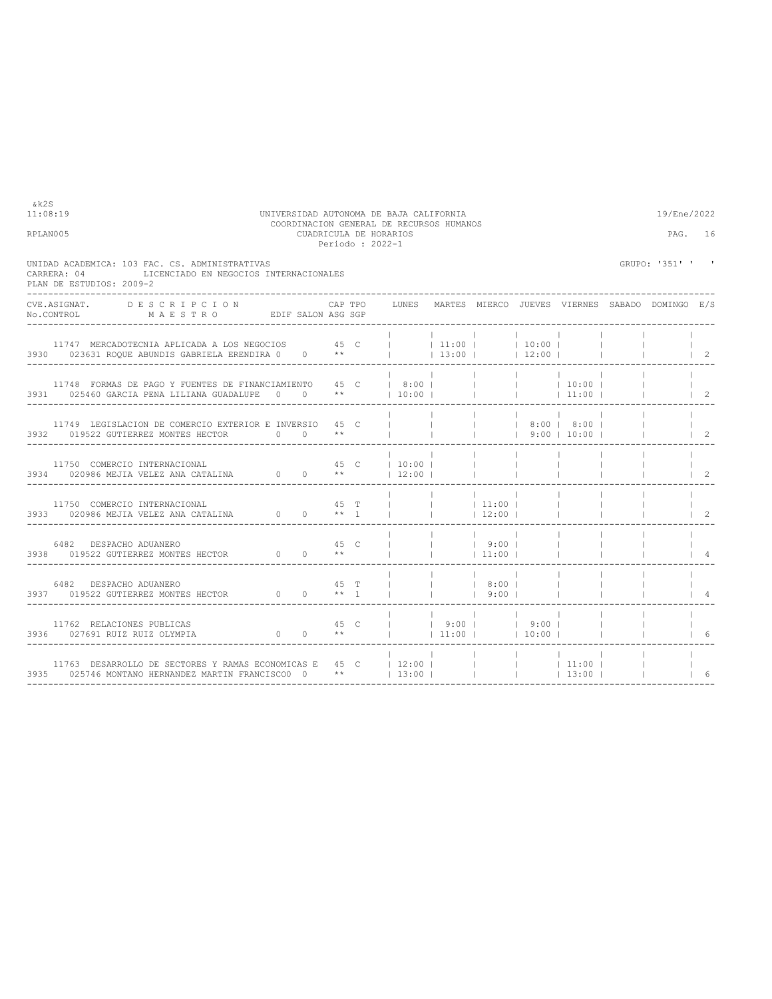| RPLAN005                                                                                                                                                                 |      | Periodo : 2022-1 | CUADRICULA DE HORARIOS |                          |                                                             |                                                   |                          |                                                       | PAG. 16                              |
|--------------------------------------------------------------------------------------------------------------------------------------------------------------------------|------|------------------|------------------------|--------------------------|-------------------------------------------------------------|---------------------------------------------------|--------------------------|-------------------------------------------------------|--------------------------------------|
| UNIDAD ACADEMICA: 103 FAC. CS. ADMINISTRATIVAS<br>LICENCIADO EN NEGOCIOS INTERNACIONALES<br>CARRERA: 04<br>PLAN DE ESTUDIOS: 2009-2                                      |      |                  |                        |                          |                                                             |                                                   |                          | GRUPO: '351' ' '                                      |                                      |
| CVE.ASIGNAT. DESCRIPCION CAPTPO<br>No.CONTROL MAESTRO EDIF SALON ASG SGP                                                                                                 |      |                  |                        |                          |                                                             |                                                   |                          | LUNES MARTES MIERCO JUEVES VIERNES SABADO DOMINGO E/S |                                      |
| 11747 MERCADOTECNIA APLICADA A LOS NEGOCIOS $45$ C     11:00     10:00  <br>3930 023631 ROQUE ABUNDIS GABRIELA ERENDIRA 0 0 **     13:00     12:00                       |      |                  |                        |                          |                                                             |                                                   | <b>Contract Contract</b> |                                                       | $1\quad 2$                           |
| 3931 025460 GARCIA PENA LILIANA GUADALUPE 0 0 **                                                                                                                         |      |                  |                        |                          |                                                             |                                                   |                          |                                                       | $\begin{array}{ccc} & 2 \end{array}$ |
| 11749 LEGISLACION DE COMERCIO EXTERIOR E INVERSIO 45 C<br>3932 019522 GUTIERREZ MONTES HECTOR 0 0 **                                                                     |      |                  |                        | <b>Contract Contract</b> |                                                             | $ $ $ $ $ $ 8:00 $ $ 8:00 $ $<br>$ $ 9:00   10:00 |                          |                                                       | $1\quad 2$                           |
|                                                                                                                                                                          |      |                  |                        |                          | <b>Contract Contract</b>                                    |                                                   |                          |                                                       | 2                                    |
|                                                                                                                                                                          |      |                  |                        |                          |                                                             | <b>Contract Contract</b>                          |                          |                                                       | $\overline{2}$                       |
| 6482 DESPACHO ADUANERO<br>3938 019522 GUTIERREZ MONTES HECTOR 0 0 **                                                                                                     | 45 C |                  |                        |                          | and the contract of the contract of<br>$ $ 9:00  <br> 11:00 |                                                   |                          |                                                       |                                      |
| $6482$ DESPACHO ADUANERO $$\sf 45_T$$ $$\sf 3937$$ $$\sf 019522$ GUTIERREZ MONTES HECTOR $$\sf 64$$                                                                      |      |                  |                        | <b>Contract Contract</b> | 8:00  <br>9:00 <sub>1</sub>                                 |                                                   |                          |                                                       |                                      |
| 45 C<br>11762 RELACIONES PUBLICAS<br>0 0 ** $ $ 11:00   10:00  <br>3936 027691 RUIZ RUIZ OLYMPIA                                                                         |      |                  | $ $   9:00   9:00      |                          |                                                             |                                                   |                          |                                                       | 6                                    |
| <br>  11763 DESARROLLO DE SECTORES Y RAMAS ECONOMICAS E 45 C   12:00             11:00<br>  3935 025746 MONTANO HERNANDEZ MARTIN FRANCISCOO 0 **   13:00           13:00 |      |                  |                        |                          |                                                             |                                                   |                          |                                                       |                                      |

COORDINACION GENERAL DE RECURSOS HUMANOS

11:08:19 UNIVERSIDAD AUTONOMA DE BAJA CALIFORNIA 19/Ene/2022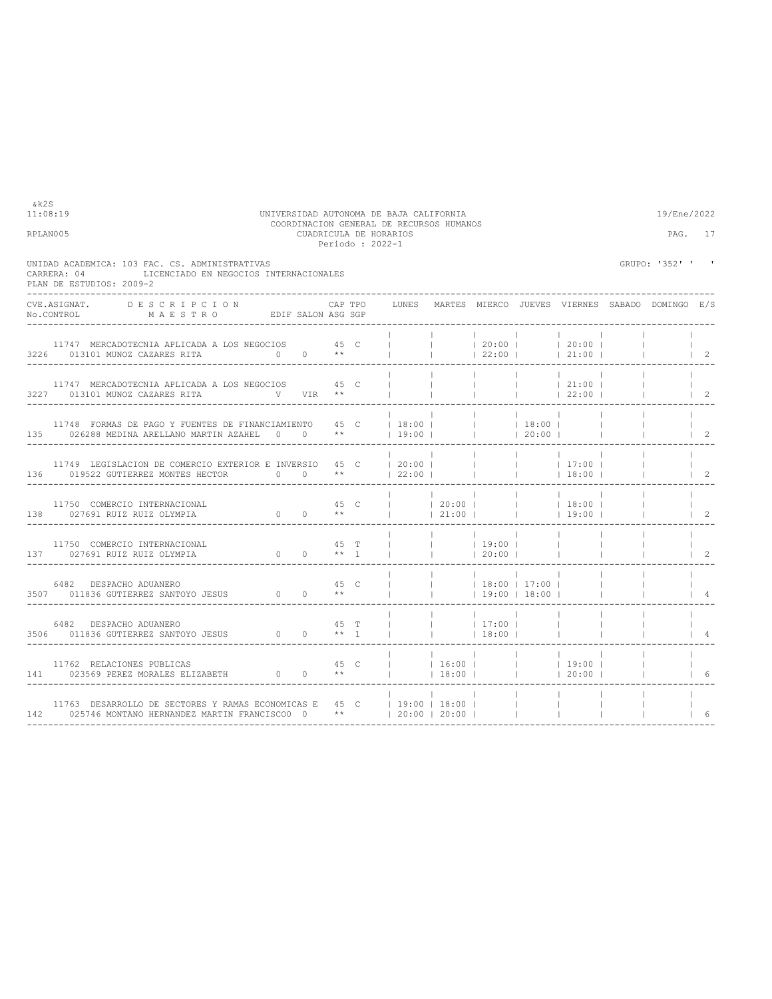| RPLAN005 |                                                                                                                                                                                                                                                                                     |      |                                | CUADRICULA DE HORARIOS<br>Periodo: 2022-1 |       |                                                |                                                        |                 |                                                                                                                                                                                        | PAG. 17                                         |                                      |
|----------|-------------------------------------------------------------------------------------------------------------------------------------------------------------------------------------------------------------------------------------------------------------------------------------|------|--------------------------------|-------------------------------------------|-------|------------------------------------------------|--------------------------------------------------------|-----------------|----------------------------------------------------------------------------------------------------------------------------------------------------------------------------------------|-------------------------------------------------|--------------------------------------|
|          | UNIDAD ACADEMICA: 103 FAC. CS. ADMINISTRATIVAS<br>LICENCIADO EN NEGOCIOS INTERNACIONALES<br>CARRERA: 04<br>PLAN DE ESTUDIOS: 2009-2                                                                                                                                                 |      |                                |                                           |       |                                                |                                                        |                 |                                                                                                                                                                                        | GRUPO: '352' ' '                                |                                      |
|          | DESCRIPCION<br>CVE ASIGNAT.<br>No.CONTROL MAESTRO EDIF SALON ASG SGP                                                                                                                                                                                                                |      |                                | CAP TPO                                   | LUNES |                                                |                                                        |                 |                                                                                                                                                                                        | MARTES MIERCO JUEVES VIERNES SABADO DOMINGO E/S |                                      |
|          | 11747 MERCADOTECNIA APLICADA A LOS NEGOCIOS 45 C<br>3226 013101 MUNOZ CAZARES RITA $0$ 0 $**$                                                                                                                                                                                       |      |                                |                                           |       |                                                |                                                        |                 | $\begin{array}{ccccccccccc}   & &   & &   & &   & 20:00 &   & & &   & 20:00 &   \\   & &   & &   & &   & 22:00 &   & & &   & 21:00 &   \\ \end{array}$                                 |                                                 | $\begin{array}{ccc} \end{array}$     |
|          | 11747 MERCADOTECNIA APLICADA A LOS NEGOCIOS 45 C<br>3227 013101 MUNOZ CAZARES RITA WWW VIR **                                                                                                                                                                                       |      |                                |                                           |       |                                                |                                                        |                 | $\begin{array}{ccccccccccc}   & &   & &   & &   & &   & 21:00 &   \\   & &   & &   & &   & & 22:00 &   \\ \end{array}$                                                                 |                                                 | $\vert$ 2                            |
|          | 11748 FORMAS DE PAGO Y FUENTES DE FINANCIAMIENTO $45$ C $\vert$ 18:00 $\vert$ 19:00 $\vert$ 18:00 $\vert$ 18:00 $\vert$ 19:00 $\vert$ 19:00 $\vert$ 19:00 $\vert$ 19:00 $\vert$<br>135 026288 MEDINA ARELLANO MARTIN AZAHEL 0 0 **                                                  |      |                                |                                           |       | $\mathbf{1}$ and $\mathbf{1}$ and $\mathbf{1}$ |                                                        | <b>Contract</b> |                                                                                                                                                                                        |                                                 | $1\quad 2$                           |
|          | 11749 LEGISLACION DE COMERCIO EXTERIOR E INVERSIO $\begin{array}{c cccccc} 45 & C &   & 20:00 &   &   &   &   & 17:00 &   \\ 0.19522 & GUTIERREZ & MONTES & HECTOR & 0 & 0 & * &   & 22:00 &   &   &   &   & 18:00 &   \\ \end{array}$<br>136 019522 GUTIERREZ MONTES HECTOR 0 0 ** |      |                                |                                           |       |                                                | $\mathbb{R}^n$                                         |                 |                                                                                                                                                                                        |                                                 | $\begin{array}{ccc} & 2 \end{array}$ |
|          | 11750 COMERCIO INTERNACIONAL<br>11750 COMERCIO INTERNACIONAL $138$ 027691 RUIZ RUIZ OLYMPIA $0$ 0 $**$                                                                                                                                                                              |      | 45 C                           |                                           |       |                                                | the contract of the contract of                        |                 | $\begin{array}{cccccccccccc}   & &   & 20:00 &   & &   & &   & 18:00 &   \\   & &   & 21:00 &   & &   & &   & 19:00 &   \\   & &   & 21:00 &   & &   & &   & 19:00 &   \\ \end{array}$ |                                                 | $1\quad 2$                           |
|          | 11750 COMERCIO INTERNACIONAL<br>11750 COMERCIO INTERNACIONAL $137$ 027691 RUIZ RUIZ OLYMPIA $0$ 0 ** 1                                                                                                                                                                              |      | 45 T                           |                                           |       |                                                | <b>Contract Contract</b><br> 20:00                     |                 |                                                                                                                                                                                        |                                                 | $1\quad 2$                           |
|          | 6482 DESPACHO ADUANERO<br>3507 011836 GUTIERREZ SANTOYO JESUS 0                                                                                                                                                                                                                     |      | 45 C<br>$0 \longrightarrow$ ** |                                           |       | $ $ 18:00   17:00                              | and the contract of the contract of<br>$19:00$   18:00 |                 |                                                                                                                                                                                        |                                                 | $\overline{4}$                       |
|          | 6482 DESPACHO ADUANERO<br>3506 011836 GUTIERREZ SANTOYO JESUS 0 0 ** 1                                                                                                                                                                                                              |      | 45 T                           |                                           |       | 17:00                                          | <b>Contract Contract</b><br> 18:00                     |                 |                                                                                                                                                                                        |                                                 | $\overline{4}$                       |
|          | 11762 RELACIONES PUBLICAS<br>11762 RELACIONES PUBLICAS $45$ C<br>141 023569 PEREZ MORALES ELIZABETH 0 0 **                                                                                                                                                                          | 45 C |                                |                                           |       | $18:00$                                        | and the contract of the con-                           |                 | 20:00                                                                                                                                                                                  |                                                 |                                      |
|          | 11763 DESARROLLO DE SECTORES Y RAMAS ECONOMICAS E 45 C   19:00   18:00  <br>142 025746 MONTANO HERNANDEZ MARTIN FRANCISCO0 0 **   20:00   20:00                                                                                                                                     |      |                                |                                           |       |                                                |                                                        |                 |                                                                                                                                                                                        |                                                 | 6                                    |

COORDINACION GENERAL DE RECURSOS HUMANOS

11:08:19 UNIVERSIDAD AUTONOMA DE BAJA CALIFORNIA 19/Ene/2022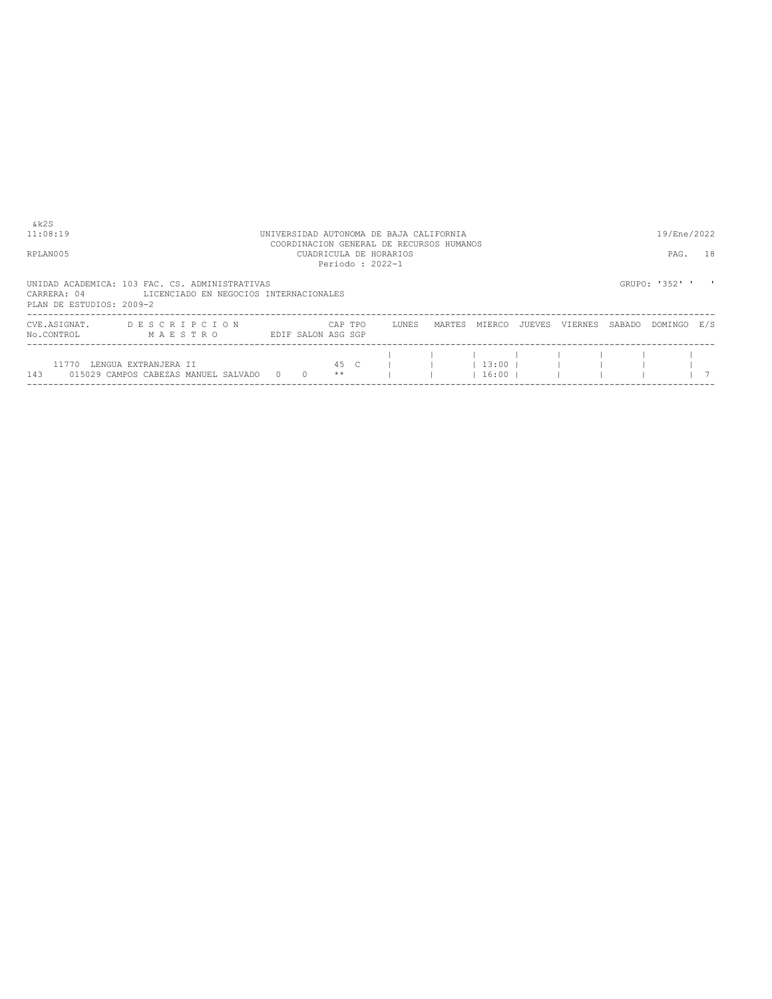| 11:08:19                   | UNIVERSIDAD AUTONOMA DE BAJA CALIFORNIA                                                              |                                                                                       |  |         |      |       |  |                      |                |                |  |                |              |
|----------------------------|------------------------------------------------------------------------------------------------------|---------------------------------------------------------------------------------------|--|---------|------|-------|--|----------------------|----------------|----------------|--|----------------|--------------|
| RPLAN005                   |                                                                                                      | COORDINACION GENERAL DE RECURSOS HUMANOS<br>CUADRICULA DE HORARIOS<br>Periodo: 2022-1 |  |         |      |       |  |                      |                |                |  |                |              |
| PLAN DE ESTUDIOS: 2009-2   | UNIDAD ACADEMICA: 103 FAC. CS. ADMINISTRATIVAS<br>CARRERA: 04 LICENCIADO EN NEGOCIOS INTERNACIONALES |                                                                                       |  |         |      |       |  |                      |                |                |  | GRUPO: '352' ' | $\mathbf{r}$ |
| CVE.ASIGNAT.<br>No.CONTROL | DESCRIPCION<br>MAESTRO EDIFSALONASGSGP                                                               |                                                                                       |  | CAP TPO |      | LUNES |  | MARTES MIERCO JUEVES |                | VIERNES SABADO |  | DOMINGO E/S    |              |
| 143                        | 11770 LENGUA EXTRANJERA II<br>015029 CAMPOS CABEZAS MANUEL SALVADO 0 0                               |                                                                                       |  | $* *$   | 45 C |       |  |                      | $1\,16:00$ $1$ |                |  |                |              |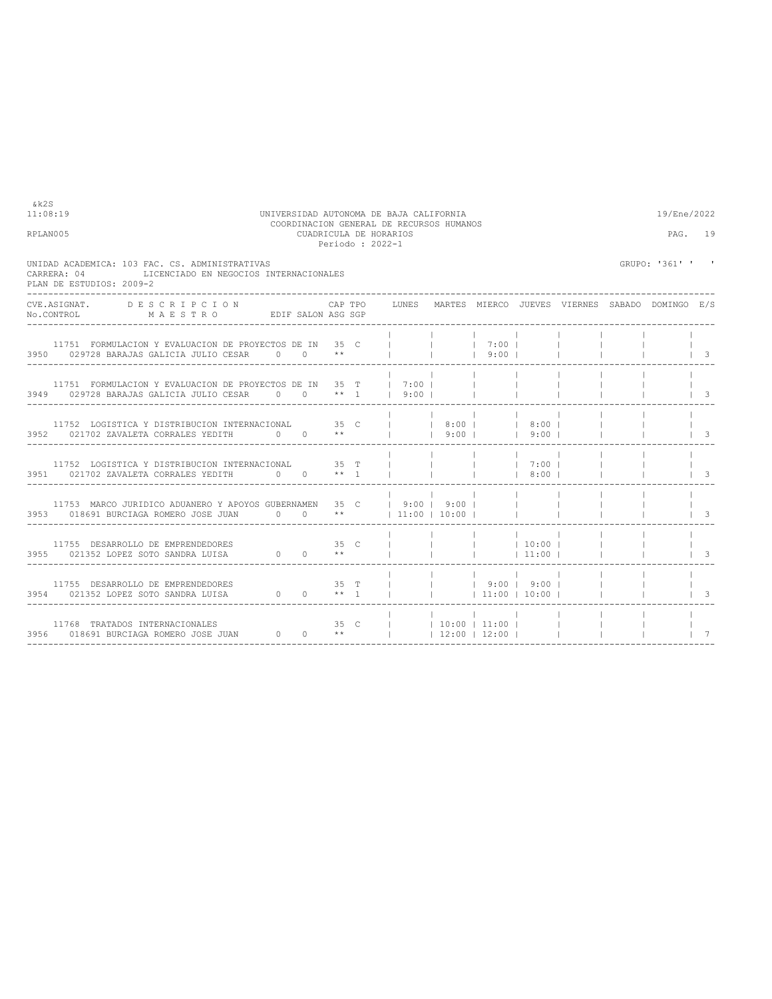| CVE.ASIGNAT. DESCRIPCION |                                                    |                                                                                                                                                                                                                                                                                                                                                                                                                                                                                                          |                                                                                                                                                                                                                                       |              |                                                                                                                                                                 |                                                                                                                                                                                                                             |                                                                                                                                                                                                                                                               |                                                                     |                                                                                              |
|--------------------------|----------------------------------------------------|----------------------------------------------------------------------------------------------------------------------------------------------------------------------------------------------------------------------------------------------------------------------------------------------------------------------------------------------------------------------------------------------------------------------------------------------------------------------------------------------------------|---------------------------------------------------------------------------------------------------------------------------------------------------------------------------------------------------------------------------------------|--------------|-----------------------------------------------------------------------------------------------------------------------------------------------------------------|-----------------------------------------------------------------------------------------------------------------------------------------------------------------------------------------------------------------------------|---------------------------------------------------------------------------------------------------------------------------------------------------------------------------------------------------------------------------------------------------------------|---------------------------------------------------------------------|----------------------------------------------------------------------------------------------|
|                          |                                                    |                                                                                                                                                                                                                                                                                                                                                                                                                                                                                                          |                                                                                                                                                                                                                                       |              |                                                                                                                                                                 |                                                                                                                                                                                                                             |                                                                                                                                                                                                                                                               |                                                                     | $\begin{array}{ccc} & & 3 \end{array}$                                                       |
|                          |                                                    |                                                                                                                                                                                                                                                                                                                                                                                                                                                                                                          |                                                                                                                                                                                                                                       |              |                                                                                                                                                                 |                                                                                                                                                                                                                             |                                                                                                                                                                                                                                                               |                                                                     | $\vert$ 3                                                                                    |
|                          |                                                    |                                                                                                                                                                                                                                                                                                                                                                                                                                                                                                          |                                                                                                                                                                                                                                       |              |                                                                                                                                                                 |                                                                                                                                                                                                                             |                                                                                                                                                                                                                                                               |                                                                     | $\overline{\phantom{1}}$ 3                                                                   |
|                          |                                                    |                                                                                                                                                                                                                                                                                                                                                                                                                                                                                                          |                                                                                                                                                                                                                                       |              |                                                                                                                                                                 |                                                                                                                                                                                                                             |                                                                                                                                                                                                                                                               |                                                                     | $\vert$ 3                                                                                    |
|                          |                                                    |                                                                                                                                                                                                                                                                                                                                                                                                                                                                                                          |                                                                                                                                                                                                                                       |              |                                                                                                                                                                 |                                                                                                                                                                                                                             |                                                                                                                                                                                                                                                               |                                                                     | $\vert$ 3                                                                                    |
|                          |                                                    |                                                                                                                                                                                                                                                                                                                                                                                                                                                                                                          |                                                                                                                                                                                                                                       |              |                                                                                                                                                                 |                                                                                                                                                                                                                             |                                                                                                                                                                                                                                                               |                                                                     | $\vert$ 3                                                                                    |
|                          |                                                    |                                                                                                                                                                                                                                                                                                                                                                                                                                                                                                          |                                                                                                                                                                                                                                       |              |                                                                                                                                                                 |                                                                                                                                                                                                                             |                                                                                                                                                                                                                                                               |                                                                     | $\vert$ 3                                                                                    |
|                          |                                                    |                                                                                                                                                                                                                                                                                                                                                                                                                                                                                                          |                                                                                                                                                                                                                                       |              |                                                                                                                                                                 |                                                                                                                                                                                                                             |                                                                                                                                                                                                                                                               |                                                                     | $\overline{7}$                                                                               |
|                          | CARRERA: 04 LICENCIADO EN NEGOCIOS INTERNACIONALES | $\verb No.CONTROL  \qquad \qquad \verb M A E S T R O  \qquad \qquad \verb EDIF SALON ASG SGP  \qquad \qquad \verb N.ACS  \qquad \qquad \verb N.ACS  \qquad \qquad \verb N.ACS  \qquad \qquad \verb N.ACS  \qquad \qquad \verb N.ACS  \qquad \qquad \verb N.ACS  \qquad \qquad \verb N.ACS  \qquad \qquad \verb N.ACS  \qquad \qquad \verb N.ACS  \qquad \qquad \verb N.ACS  \qquad \qquad \verb N.ACS  \qquad \qquad \verb N.ACS  \qquad \qquad \verb$<br>3950 029728 BARAJAS GALICIA JULIO CESAR 0 0 ** | CUADRICULA DE HORARIOS<br>Periodo: 2022-1<br>11752 LOGISTICA Y DISTRIBUCION INTERNACIONAL 35 T  <br>3951 021702 ZAVALETA CORRALES YEDITH 0 0 ** 1  <br>11755 DESARROLLO DE EMPRENDEDORES 3955 021352 LOPEZ SOTO SANDRA LUISA $0$ 0 ** | $\mathbb{R}$ | 3949 029728 BARAJAS GALICIA JULIO CESAR 0 0 ** 1 1 9:00   1<br><b>Contract Contract</b><br>11753 MARCO JURIDICO ADUANERO Y APOYOS GUBERNAMEN 35 C   9:00   9:00 | and the contract of the contract of<br>11751 FORMULACION Y EVALUACION DE PROYECTOS DE IN 35 C (         7:00  <br> 9:00 <br>11751 FORMULACION Y EVALUACION DE PROYECTOS DE IN 35 T   7:00      <br><b>Contract Contract</b> | 3952 021702 ZAVALETA CORRALES YEDITH 0 0 **     9:00     9:00  <br>  7:00  <br>  8:00  <br>$ $ 11:00  <br>the contract of the contract of the contract of<br>35 C       10:00   11:00    <br>3956 018691 BURCIAGA ROMERO JOSE JUAN 0 0 0 **     12:00   12:00 | 11752 LOGISTICA Y DISTRIBUCION INTERNACIONAL 35 C     8:00     8:00 | PAG. 19<br>GRUPO: '361' ' '<br>CAP TPO LUNES MARTES MIERCO JUEVES VIERNES SABADO DOMINGO E/S |

COORDINACION GENERAL DE RECURSOS HUMANOS

11:08:19 UNIVERSIDAD AUTONOMA DE BAJA CALIFORNIA 19/Ene/2022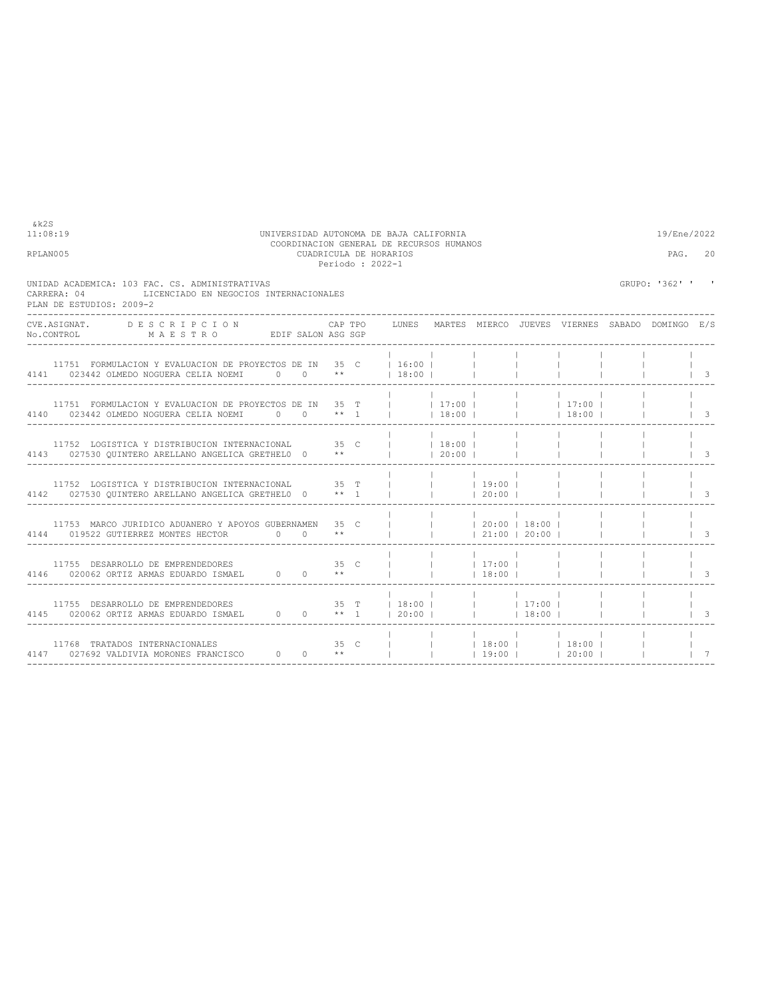| &k2S<br>11:08:19<br>RPLAN005                                                                                                 |                                                                                                                                                                                                                                                                                                                                                                                                                                                                              | UNIVERSIDAD AUTONOMA DE BAJA CALIFORNIA | COORDINACION GENERAL DE RECURSOS HUMANOS<br>CUADRICULA DE HORARIOS | Periodo: 2022-1 |  | 19/Ene/2022<br>PAG. 20 |                                                              |                          |                                      |  |                |             |
|------------------------------------------------------------------------------------------------------------------------------|------------------------------------------------------------------------------------------------------------------------------------------------------------------------------------------------------------------------------------------------------------------------------------------------------------------------------------------------------------------------------------------------------------------------------------------------------------------------------|-----------------------------------------|--------------------------------------------------------------------|-----------------|--|------------------------|--------------------------------------------------------------|--------------------------|--------------------------------------|--|----------------|-------------|
| CARRERA: 04<br>PLAN DE ESTUDIOS: 2009-2                                                                                      | UNIDAD ACADEMICA: 103 FAC. CS. ADMINISTRATIVAS<br>LICENCIADO EN NEGOCIOS INTERNACIONALES                                                                                                                                                                                                                                                                                                                                                                                     |                                         |                                                                    |                 |  |                        |                                                              |                          |                                      |  | GRUPO: '362' ' |             |
| CVE.ASIGNAT. DESCRIPCION CAPTPO LUNES MARTES MIERCO JUEVES VIERNES SABADO DOMINGO E/S<br>No.CONTROL MAESTRO EDIFSALON ASGSGP |                                                                                                                                                                                                                                                                                                                                                                                                                                                                              |                                         |                                                                    |                 |  |                        |                                                              |                          |                                      |  |                |             |
|                                                                                                                              | 11751 FORMULACION Y EVALUACION DE PROYECTOS DE IN 35 C   16:00    <br>4141 023442 OLMEDO NOGUERA CELIA NOEMI 0 0 **   18:00                                                                                                                                                                                                                                                                                                                                                  |                                         |                                                                    |                 |  |                        |                                                              | and the con-             |                                      |  |                | $\vert$ 3   |
| 4140 023442 OLMEDO NOGUERA CELIA NOEMI 0 0 ** 1   18:00       18:00                                                          | 11751 FORMULACION Y EVALUACION DE PROYECTOS DE IN 35 T       17:00         17:00                                                                                                                                                                                                                                                                                                                                                                                             |                                         |                                                                    |                 |  |                        |                                                              |                          |                                      |  |                | $\perp$ 3   |
|                                                                                                                              | 11752 LOGISTICA Y DISTRIBUCION INTERNACIONAL 35 C     18:00    <br>4143 027530 OUINTERO ARELLANO ANGELICA GRETHELO 0 **                                                                                                                                                                                                                                                                                                                                                      |                                         |                                                                    |                 |  | $120:00$ 1             |                                                              |                          |                                      |  |                | $\vert$ 3   |
|                                                                                                                              | 11752 LOGISTICA Y DISTRIBUCION INTERNACIONAL 35 T       19:00  <br>4142 027530 OUINTERO ARELLANO ANGELICA GRETHELO 0 ** 1 l                                                                                                                                                                                                                                                                                                                                                  |                                         |                                                                    |                 |  |                        | 20:00                                                        |                          | <b>Contract Contract</b>             |  |                | $\vert$ 3   |
| 4144 019522 GUTIERREZ MONTES HECTOR 0 0 **                                                                                   | 11753 MARCO JURIDICO ADUANERO Y APOYOS GUBERNAMEN 35 C                                                                                                                                                                                                                                                                                                                                                                                                                       |                                         |                                                                    |                 |  |                        | and the contract of the contract of<br>$121:00$ $120:00$ $1$ | $\sim$ 1                 |                                      |  |                | $\perp$ 3   |
|                                                                                                                              |                                                                                                                                                                                                                                                                                                                                                                                                                                                                              |                                         |                                                                    |                 |  |                        |                                                              | <b>Contract Contract</b> |                                      |  |                | $\perp$ 3   |
|                                                                                                                              | 11755 DESARROLLO DE EMPRENDEDORES 6 1 35 T $\begin{array}{c c c c c c c c c} & & & & & & & & \text{if} & & & \text{if} & & \text{if} & \text{if} & \text{if} & \text{if} & \text{if} & \text{if} & \text{if} & \text{if} & \text{if} & \text{if} & \text{if} & \text{if} & \text{if} & \text{if} & \text{if} & \text{if} & \text{if} & \text{if} & \text{if} & \text{if} & \text{if} & \text{if}$<br>4145 020062 ORTIZ ARMAS EDUARDO ISMAEL 0 0 0 ** 1   20:00         18:00 |                                         |                                                                    |                 |  |                        |                                                              |                          | <b>Contract Contract</b>             |  |                | $\vert$ 3   |
| 11768 TRATADOS INTERNACIONALES<br>4147 027692 VALDIVIA MORONES FRANCISCO $0$ 0 **                                            |                                                                                                                                                                                                                                                                                                                                                                                                                                                                              |                                         |                                                                    | 35 C            |  |                        |                                                              | <b>Contract</b>          | and the state<br>$ 19:00 $ $ 20:00 $ |  |                | $1 \quad 7$ |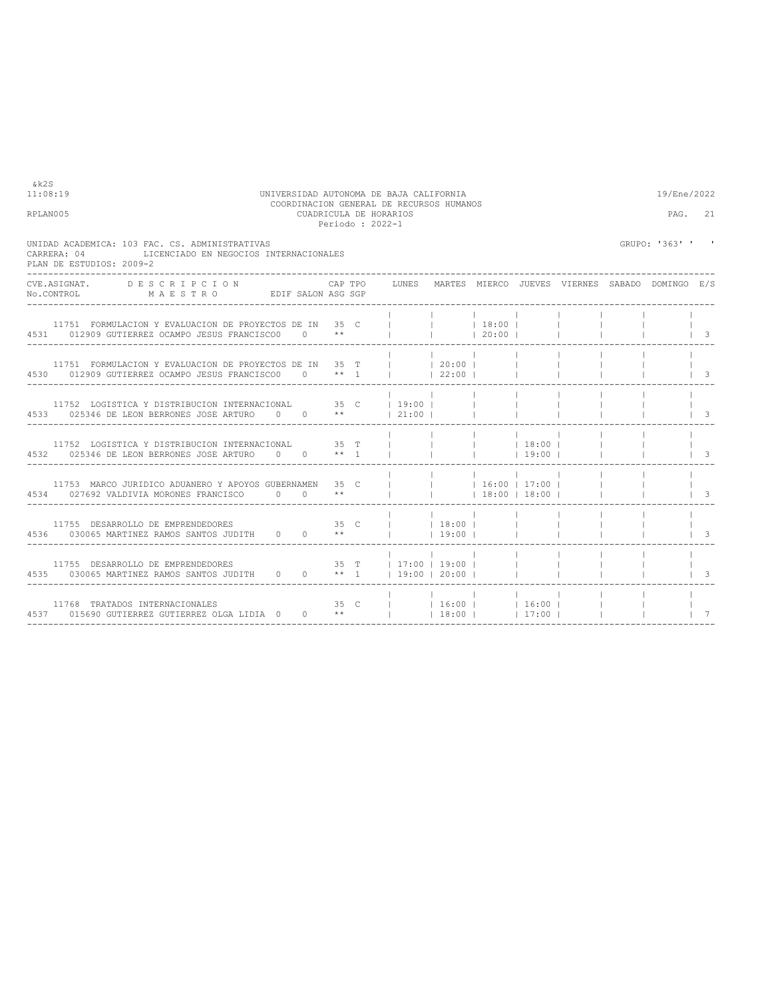| CARRERA: 04 | UNIDAD ACADEMICA: 103 FAC. CS. ADMINISTRATIVAS<br>LICENCIADO EN NEGOCIOS INTERNACIONALES<br>PLAN DE ESTUDIOS: 2009-2                        |  |  |                          |                   |             |  | GRUPO: '363' ' ' |                         |
|-------------|---------------------------------------------------------------------------------------------------------------------------------------------|--|--|--------------------------|-------------------|-------------|--|------------------|-------------------------|
| No.CONTROL  | ---------------------<br>CVE.ASIGNAT. DESCRIPCION CAPTPO LUNES MARTES MIERCO JUEVES VIERNES SABADO DOMINGO E/S<br>MAESTRO EDIFSALON ASG SGP |  |  |                          |                   |             |  |                  |                         |
|             | 11751 FORMULACION Y EVALUACION DE PROYECTOS DE IN 35 C (1) (18:00)   1<br>4531 012909 GUTIERREZ OCAMPO JESUS FRANCISCO0 0 **         20:00  |  |  |                          |                   |             |  |                  | $\vert$ 3               |
|             | 11751 FORMULACION Y EVALUACION DE PROYECTOS DE IN 35 T       20:00      <br>4530 012909 GUTIERREZ OCAMPO JESUS FRANCISCO0 0 ** 1     22:00  |  |  |                          |                   |             |  |                  | - 3                     |
|             | 11752 LOGISTICA Y DISTRIBUCION INTERNACIONAL 35 C   19:00      <br>4533 025346 DE LEON BERRONES JOSE ARTURO 0 0 **   21:00                  |  |  |                          |                   |             |  |                  | - 3                     |
|             | 11752 LOGISTICA Y DISTRIBUCION INTERNACIONAL 35 T             18:00  <br>4532 025346 DE LEON BERRONES JOSE ARTURO 0 0 ** 1                  |  |  |                          |                   | $19:00$ $1$ |  |                  | $1 \quad 3$             |
|             | 11753 MARCO JURIDICO ADUANERO Y APOYOS GUBERNAMEN 35 C           16:00   17:00    <br>4534 027692 VALDIVIA MORONES FRANCISCO 0 0 **         |  |  |                          | $18:00 + 18:00 +$ |             |  |                  | $\overline{\mathbf{3}}$ |
|             | 11755 DESARROLLO DE EMPRENDEDORES 6 35 C $\vert$ 18:00      <br>4536 030065 MARTINEZ RAMOS SANTOS JUDITH 0 0 **     19:00                   |  |  |                          |                   |             |  |                  | -3                      |
|             | 4535 030065 MARTINEZ RAMOS SANTOS JUDITH 0 0 ** 1 19:00   20:00                                                                             |  |  |                          |                   |             |  |                  | -3                      |
|             | 11768 TRATADOS INTERNACIONALES<br>4537 015690 GUTIERREZ GUTIERREZ OLGA LIDIA 0 0 **     18:00     17:00                                     |  |  | 35 C     16:00     16:00 |                   |             |  |                  |                         |

----------------------------------------------------------------------------------------------------------------------------------

 $k2S$ <br>11:08:19

## 11:08:19 UNIVERSIDAD AUTONOMA DE BAJA CALIFORNIA<br>COORDINACION GENERAL DE RECURSOS HUMANOS<br>CUADRICULA DE HORARIOS<br>Periodo : 2022-1<br>Periodo : 2022-1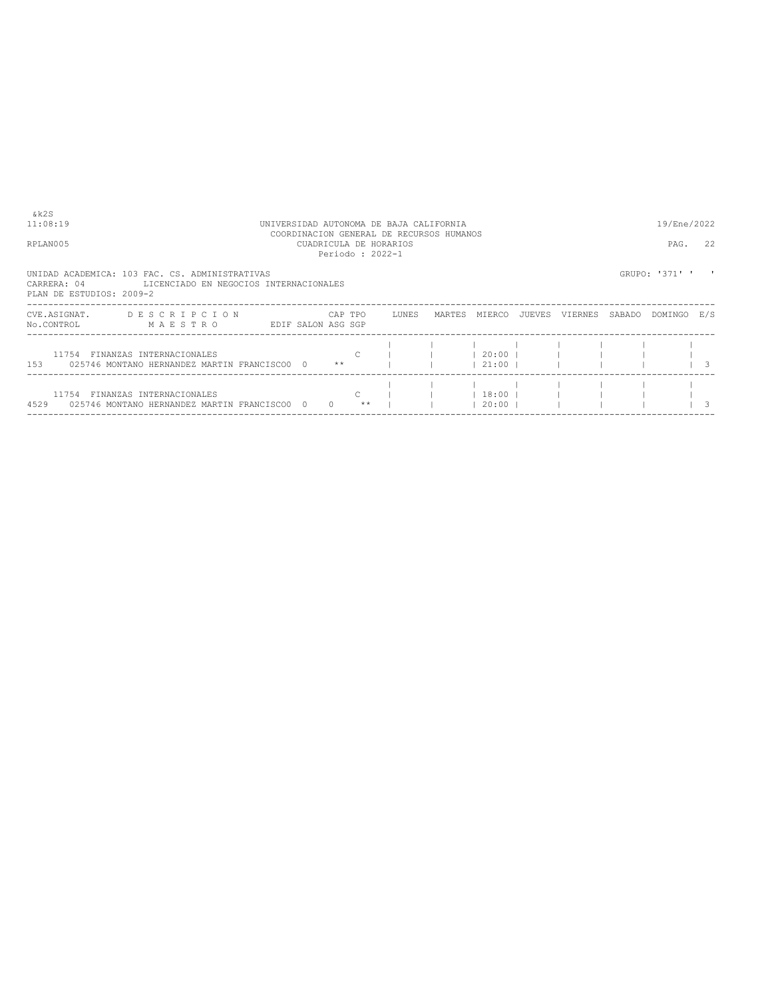| & k 2 S<br>11:08:19<br>RPLAN005         |                                                                                           | UNIVERSIDAD AUTONOMA DE BAJA CALIFORNIA<br>COORDINACION GENERAL DE RECURSOS HUMANOS<br>CUADRICULA DE HORARIOS<br>Periodo: 2022-1<br>UNIDAD ACADEMICA: 103 FAC. CS. ADMINISTRATIVAS |  |          |               |       |        |                     |        |         |        |                |                                                     |  |
|-----------------------------------------|-------------------------------------------------------------------------------------------|------------------------------------------------------------------------------------------------------------------------------------------------------------------------------------|--|----------|---------------|-------|--------|---------------------|--------|---------|--------|----------------|-----------------------------------------------------|--|
| CARRERA: 04<br>PLAN DE ESTUDIOS: 2009-2 | LICENCIADO EN NEGOCIOS INTERNACIONALES                                                    |                                                                                                                                                                                    |  |          |               |       |        |                     |        |         |        | GRUPO: '371' ' |                                                     |  |
| CVE.ASIGNAT.<br>No.CONTROL              | DESCRIPCION<br>MAESTRO                                                                    | EDIF SALON ASG SGP                                                                                                                                                                 |  |          | CAP TPO       | LUNES | MARTES | MIERCO              | JUEVES | VIERNES | SABADO | DOMINGO E/S    |                                                     |  |
|                                         | 11754 FINANZAS INTERNACIONALES<br>153 025746 MONTANO HERNANDEZ MARTIN FRANCISCO0 0 **     |                                                                                                                                                                                    |  |          | $\mathcal{C}$ |       |        | 20:00 <br> 21:00    |        |         |        |                |                                                     |  |
|                                         | 11754 FINANZAS INTERNACIONALES<br>4529     025746 MONTANO HERNANDEZ MARTIN FRANCISCO0   0 |                                                                                                                                                                                    |  | $\Omega$ | C.<br>$**$    |       |        | 18:00 <br>$20:00$ 1 |        |         |        |                | $\begin{array}{ccc} & & & & \\ & & & & \end{array}$ |  |